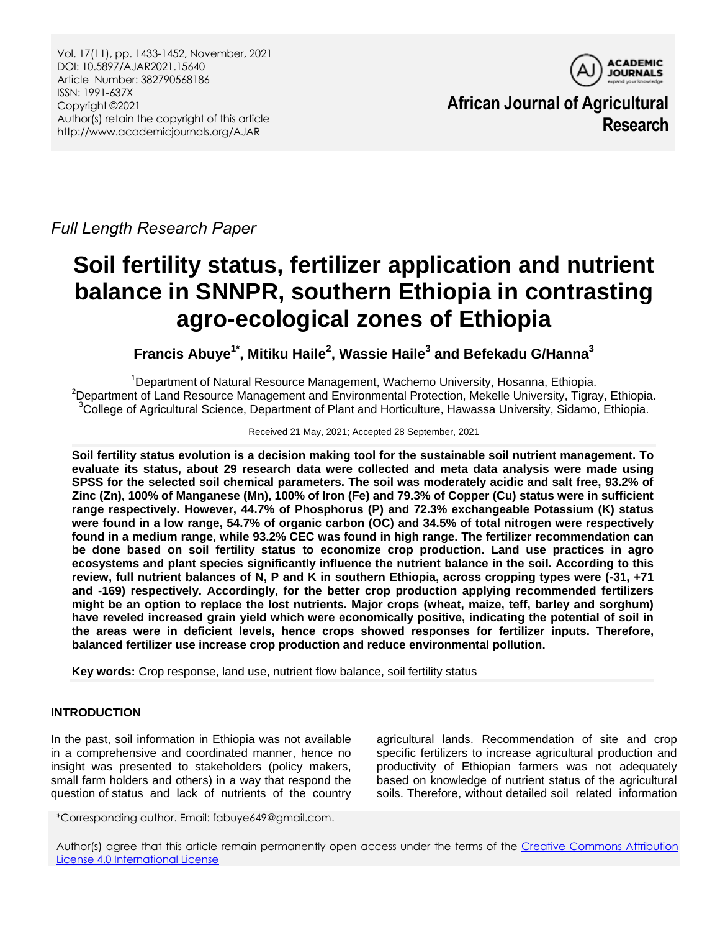Vol. 17(11), pp. 1433-1452, November, 2021 DOI: 10.5897/AJAR2021.15640 Article Number: 382790568186 ISSN: 1991-637X Copyright ©2021 Author(s) retain the copyright of this article http://www.academicjournals.org/AJAR



**African Journal of Agricultural Research**

*Full Length Research Paper*

# **Soil fertility status, fertilizer application and nutrient balance in SNNPR, southern Ethiopia in contrasting agro-ecological zones of Ethiopia**

**Francis Abuye1\* , Mitiku Haile<sup>2</sup> , Wassie Haile<sup>3</sup> and Befekadu G/Hanna<sup>3</sup>**

<sup>1</sup>Department of Natural Resource Management, Wachemo University, Hosanna, Ethiopia. <sup>2</sup>Department of Land Resource Management and Environmental Protection, Mekelle University, Tigray, Ethiopia. <sup>3</sup>College of Agricultural Science, Department of Plant and Horticulture, Hawassa University, Sidamo, Ethiopia.

#### Received 21 May, 2021; Accepted 28 September, 2021

**Soil fertility status evolution is a decision making tool for the sustainable soil nutrient management. To evaluate its status, about 29 research data were collected and meta data analysis were made using SPSS for the selected soil chemical parameters. The soil was moderately acidic and salt free, 93.2% of Zinc (Zn), 100% of Manganese (Mn), 100% of Iron (Fe) and 79.3% of Copper (Cu) status were in sufficient range respectively. However, 44.7% of Phosphorus (P) and 72.3% exchangeable Potassium (K) status were found in a low range, 54.7% of organic carbon (OC) and 34.5% of total nitrogen were respectively found in a medium range, while 93.2% CEC was found in high range. The fertilizer recommendation can be done based on soil fertility status to economize crop production. Land use practices in agro ecosystems and plant species significantly influence the nutrient balance in the soil. According to this review, full nutrient balances of N, P and K in southern Ethiopia, across cropping types were (-31, +71 and -169) respectively. Accordingly, for the better crop production applying recommended fertilizers might be an option to replace the lost nutrients. Major crops (wheat, maize, teff, barley and sorghum) have reveled increased grain yield which were economically positive, indicating the potential of soil in the areas were in deficient levels, hence crops showed responses for fertilizer inputs. Therefore, balanced fertilizer use increase crop production and reduce environmental pollution.**

**Key words:** Crop response, land use, nutrient flow balance, soil fertility status

# **INTRODUCTION**

In the past, soil information in Ethiopia was not available in a comprehensive and coordinated manner, hence no insight was presented to stakeholders (policy makers, small farm holders and others) in a way that respond the question of status and lack of nutrients of the country

agricultural lands. Recommendation of site and crop specific fertilizers to increase agricultural production and productivity of Ethiopian farmers was not adequately based on knowledge of nutrient status of the agricultural soils. Therefore, without detailed soil related information

\*Corresponding author. Email: fabuye649@gmail.com.

Author(s) agree that this article remain permanently open access under the terms of the Creative Commons Attribution [License 4.0 International License](http://creativecommons.org/licenses/by/4.0/deed.en_US)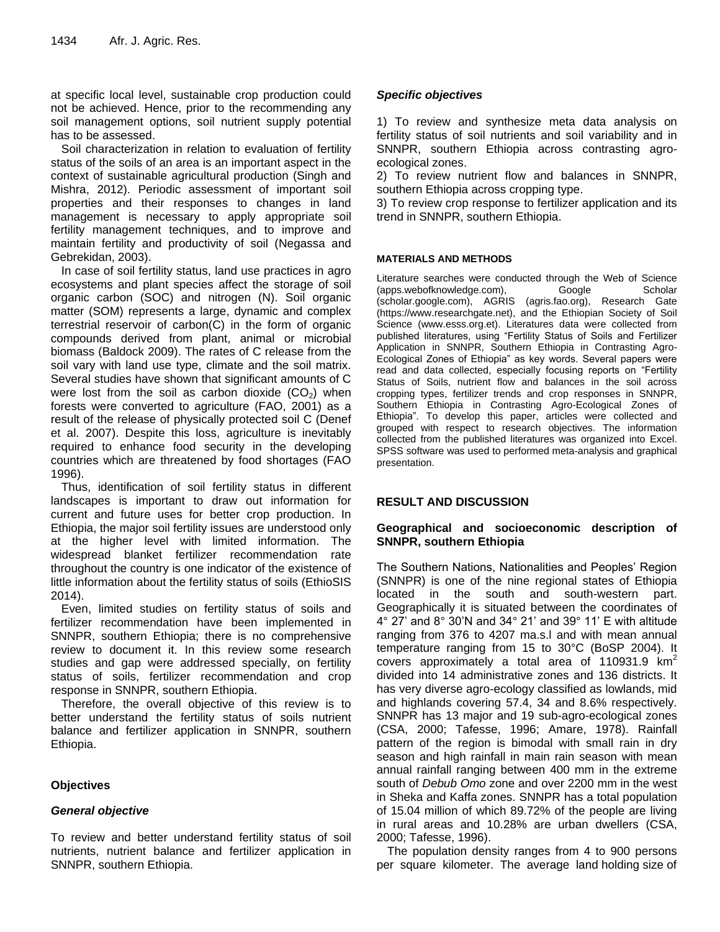at specific local level, sustainable crop production could not be achieved. Hence, prior to the recommending any soil management options, soil nutrient supply potential has to be assessed.

Soil characterization in relation to evaluation of fertility status of the soils of an area is an important aspect in the context of sustainable agricultural production (Singh and Mishra, 2012). Periodic assessment of important soil properties and their responses to changes in land management is necessary to apply appropriate soil fertility management techniques, and to improve and maintain fertility and productivity of soil (Negassa and Gebrekidan, 2003).

In case of soil fertility status, land use practices in agro ecosystems and plant species affect the storage of soil organic carbon (SOC) and nitrogen (N). Soil organic matter (SOM) represents a large, dynamic and complex terrestrial reservoir of carbon(C) in the form of organic compounds derived from plant, animal or microbial biomass (Baldock 2009). The rates of C release from the soil vary with land use type, climate and the soil matrix. Several studies have shown that significant amounts of C were lost from the soil as carbon dioxide  $(CO<sub>2</sub>)$  when forests were converted to agriculture (FAO, 2001) as a result of the release of physically protected soil C (Denef et al. 2007). Despite this loss, agriculture is inevitably required to enhance food security in the developing countries which are threatened by food shortages (FAO 1996).

Thus, identification of soil fertility status in different landscapes is important to draw out information for current and future uses for better crop production. In Ethiopia, the major soil fertility issues are understood only at the higher level with limited information. The widespread blanket fertilizer recommendation rate throughout the country is one indicator of the existence of little information about the fertility status of soils (EthioSIS 2014).

Even, limited studies on fertility status of soils and fertilizer recommendation have been implemented in SNNPR, southern Ethiopia; there is no comprehensive review to document it. In this review some research studies and gap were addressed specially, on fertility status of soils, fertilizer recommendation and crop response in SNNPR, southern Ethiopia.

Therefore, the overall objective of this review is to better understand the fertility status of soils nutrient balance and fertilizer application in SNNPR, southern Ethiopia.

# **Objectives**

# *General objective*

To review and better understand fertility status of soil nutrients, nutrient balance and fertilizer application in SNNPR, southern Ethiopia.

# *Specific objectives*

1) To review and synthesize meta data analysis on fertility status of soil nutrients and soil variability and in SNNPR, southern Ethiopia across contrasting agroecological zones.

2) To review nutrient flow and balances in SNNPR, southern Ethiopia across cropping type.

3) To review crop response to fertilizer application and its trend in SNNPR, southern Ethiopia.

#### **MATERIALS AND METHODS**

Literature searches were conducted through the Web of Science (apps.webofknowledge.com), Google Scholar (scholar.google.com), AGRIS (agris.fao.org), Research Gate (https://www.researchgate.net), and the Ethiopian Society of Soil Science [\(www.esss.org.et\)](http://www.esss.org.et/). Literatures data were collected from published literatures, using "Fertility Status of Soils and Fertilizer Application in SNNPR, Southern Ethiopia in Contrasting Agro-Ecological Zones of Ethiopia" as key words. Several papers were read and data collected, especially focusing reports on "Fertility Status of Soils, nutrient flow and balances in the soil across cropping types, fertilizer trends and crop responses in SNNPR, Southern Ethiopia in Contrasting Agro-Ecological Zones of Ethiopia". To develop this paper, articles were collected and grouped with respect to research objectives. The information collected from the published literatures was organized into Excel. SPSS software was used to performed meta-analysis and graphical presentation.

#### **RESULT AND DISCUSSION**

#### **Geographical and socioeconomic description of SNNPR, southern Ethiopia**

The Southern Nations, Nationalities and Peoples' Region (SNNPR) is one of the nine regional states of Ethiopia located in the south and south-western part. Geographically it is situated between the coordinates of 4° 27' and 8° 30'N and 34° 21' and 39° 11' E with altitude ranging from 376 to 4207 ma.s.l and with mean annual temperature ranging from 15 to 30°C (BoSP 2004). It covers approximately a total area of 110931.9  $km<sup>2</sup>$ divided into 14 administrative zones and 136 districts. It has very diverse agro-ecology classified as lowlands, mid and highlands covering 57.4, 34 and 8.6% respectively. SNNPR has 13 major and 19 sub-agro-ecological zones (CSA, 2000; Tafesse, 1996; Amare, 1978). Rainfall pattern of the region is bimodal with small rain in dry season and high rainfall in main rain season with mean annual rainfall ranging between 400 mm in the extreme south of *Debub Omo* zone and over 2200 mm in the west in Sheka and Kaffa zones. SNNPR has a total population of 15.04 million of which 89.72% of the people are living in rural areas and 10.28% are urban dwellers (CSA, 2000; Tafesse, 1996).

The population density ranges from 4 to 900 persons per square kilometer. The average land holding size of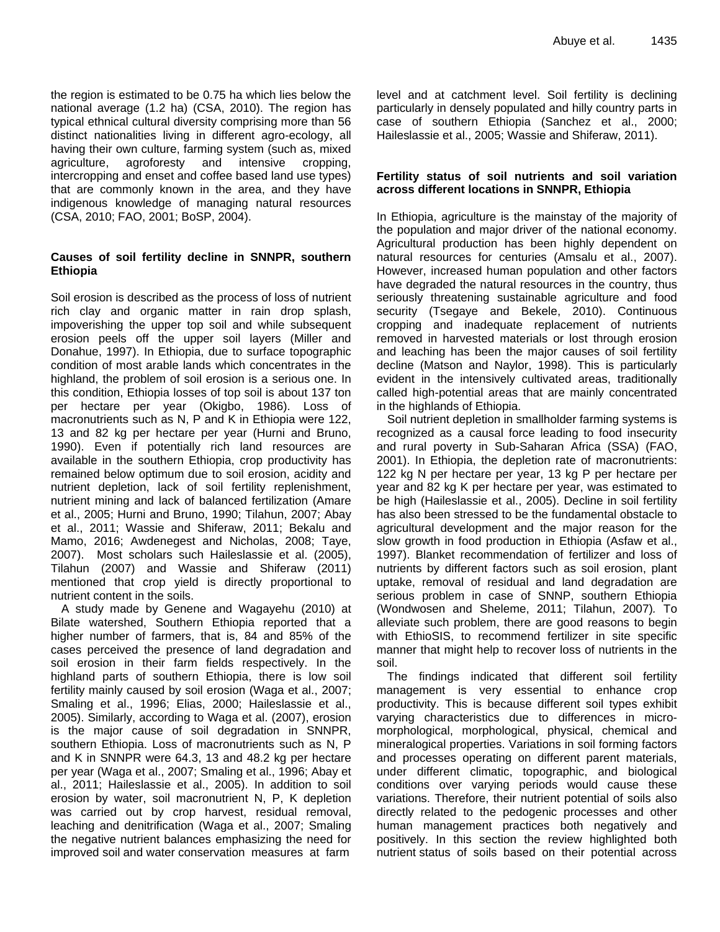the region is estimated to be 0.75 ha which lies below the national average (1.2 ha) (CSA, 2010). The region has typical ethnical cultural diversity comprising more than 56 distinct nationalities living in different agro-ecology, all having their own culture, farming system (such as, mixed agriculture, agroforesty and intensive cropping, intercropping and enset and coffee based land use types) that are commonly known in the area, and they have indigenous knowledge of managing natural resources (CSA, 2010; FAO, 2001; BoSP, 2004).

#### **Causes of soil fertility decline in SNNPR, southern Ethiopia**

Soil erosion is described as the process of loss of nutrient rich clay and organic matter in rain drop splash, impoverishing the upper top soil and while subsequent erosion peels off the upper soil layers (Miller and Donahue, 1997). In Ethiopia, due to surface topographic condition of most arable lands which concentrates in the highland, the problem of soil erosion is a serious one. In this condition, Ethiopia losses of top soil is about 137 ton per hectare per year (Okigbo, 1986). Loss of macronutrients such as N, P and K in Ethiopia were 122, 13 and 82 kg per hectare per year (Hurni and Bruno, 1990). Even if potentially rich land resources are available in the southern Ethiopia, crop productivity has remained below optimum due to soil erosion, acidity and nutrient depletion, lack of soil fertility replenishment, nutrient mining and lack of balanced fertilization (Amare et al., 2005; Hurni and Bruno, 1990; Tilahun, 2007; Abay et al., 2011; Wassie and Shiferaw, 2011; Bekalu and Mamo, 2016; Awdenegest and Nicholas, 2008; Taye, 2007). Most scholars such Haileslassie et al. (2005), Tilahun (2007) and Wassie and Shiferaw (2011) mentioned that crop yield is directly proportional to nutrient content in the soils.

A study made by Genene and Wagayehu (2010) at Bilate watershed, Southern Ethiopia reported that a higher number of farmers, that is, 84 and 85% of the cases perceived the presence of land degradation and soil erosion in their farm fields respectively. In the highland parts of southern Ethiopia, there is low soil fertility mainly caused by soil erosion (Waga et al., 2007; Smaling et al., 1996; Elias, 2000; Haileslassie et al., 2005). Similarly, according to Waga et al. (2007), erosion is the major cause of soil degradation in SNNPR, southern Ethiopia. Loss of macronutrients such as N, P and K in SNNPR were 64.3, 13 and 48.2 kg per hectare per year (Waga et al., 2007; Smaling et al., 1996; Abay et al., 2011; Haileslassie et al., 2005). In addition to soil erosion by water, soil macronutrient N, P, K depletion was carried out by crop harvest, residual removal, leaching and denitrification (Waga et al., 2007; Smaling the negative nutrient balances emphasizing the need for improved soil and water conservation measures at farm

level and at catchment level. Soil fertility is declining particularly in densely populated and hilly country parts in case of southern Ethiopia (Sanchez et al., 2000; Haileslassie et al., 2005; Wassie and Shiferaw, 2011).

#### **Fertility status of soil nutrients and soil variation across different locations in SNNPR, Ethiopia**

In Ethiopia, agriculture is the mainstay of the majority of the population and major driver of the national economy. Agricultural production has been highly dependent on natural resources for centuries (Amsalu et al., 2007). However, increased human population and other factors have degraded the natural resources in the country, thus seriously threatening sustainable agriculture and food security (Tsegaye and Bekele, 2010). Continuous cropping and inadequate replacement of nutrients removed in harvested materials or lost through erosion and leaching has been the major causes of soil fertility decline (Matson and Naylor, 1998). This is particularly evident in the intensively cultivated areas, traditionally called high-potential areas that are mainly concentrated in the highlands of Ethiopia.

Soil nutrient depletion in smallholder farming systems is recognized as a causal force leading to food insecurity and rural poverty in Sub-Saharan Africa (SSA) (FAO, 2001). In Ethiopia, the depletion rate of macronutrients: 122 kg N per hectare per year, 13 kg P per hectare per year and 82 kg K per hectare per year, was estimated to be high (Haileslassie et al., 2005). Decline in soil fertility has also been stressed to be the fundamental obstacle to agricultural development and the major reason for the slow growth in food production in Ethiopia (Asfaw et al., 1997). Blanket recommendation of fertilizer and loss of nutrients by different factors such as soil erosion, plant uptake, removal of residual and land degradation are serious problem in case of SNNP, southern Ethiopia (Wondwosen and Sheleme, 2011; Tilahun, 2007)*.* To alleviate such problem, there are good reasons to begin with EthioSIS, to recommend fertilizer in site specific manner that might help to recover loss of nutrients in the soil.

The findings indicated that different soil fertility management is very essential to enhance crop productivity. This is because different soil types exhibit varying characteristics due to differences in micromorphological, morphological, physical, chemical and mineralogical properties. Variations in soil forming factors and processes operating on different parent materials, under different climatic, topographic, and biological conditions over varying periods would cause these variations. Therefore, their nutrient potential of soils also directly related to the pedogenic processes and other human management practices both negatively and positively. In this section the review highlighted both nutrient status of soils based on their potential across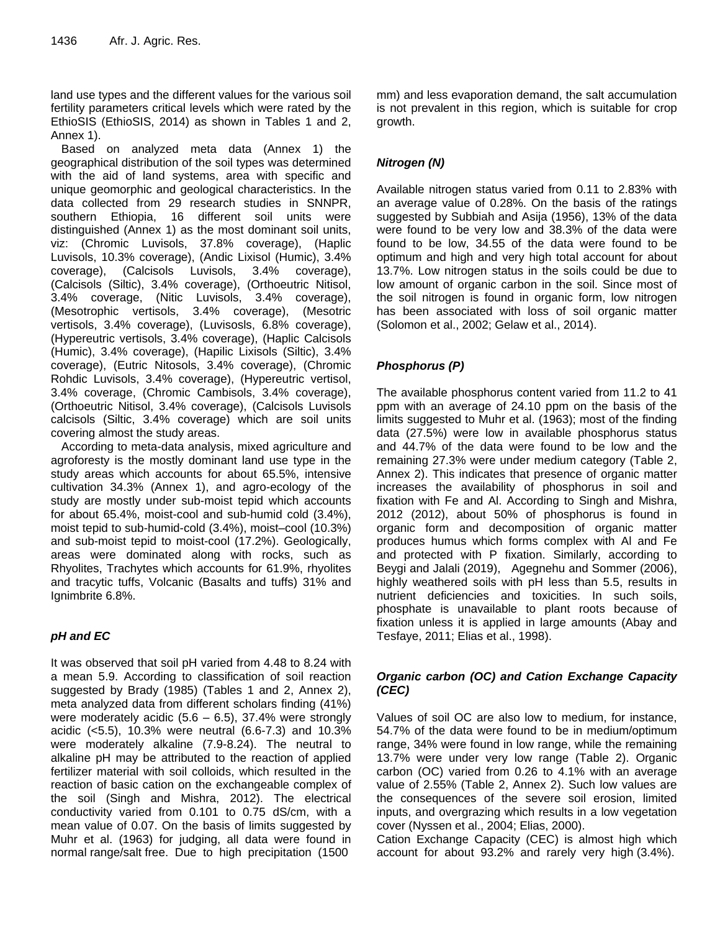land use types and the different values for the various soil fertility parameters critical levels which were rated by the EthioSIS (EthioSIS, 2014) as shown in Tables 1 and 2, Annex 1).

Based on analyzed meta data (Annex 1) the geographical distribution of the soil types was determined with the aid of land systems, area with specific and unique geomorphic and geological characteristics. In the data collected from 29 research studies in SNNPR, southern Ethiopia, 16 different soil units were distinguished (Annex 1) as the most dominant soil units, viz: (Chromic Luvisols, 37.8% coverage), (Haplic Luvisols, 10.3% coverage), (Andic Lixisol (Humic), 3.4% coverage), (Calcisols Luvisols, 3.4% coverage), (Calcisols (Siltic), 3.4% coverage), (Orthoeutric Nitisol, 3.4% coverage, (Nitic Luvisols, 3.4% coverage), (Mesotrophic vertisols, 3.4% coverage), (Mesotric vertisols, 3.4% coverage), (Luvisosls, 6.8% coverage), (Hypereutric vertisols, 3.4% coverage), (Haplic Calcisols (Humic), 3.4% coverage), (Hapilic Lixisols (Siltic), 3.4% coverage), (Eutric Nitosols, 3.4% coverage), (Chromic Rohdic Luvisols, 3.4% coverage), (Hypereutric vertisol, 3.4% coverage, (Chromic Cambisols, 3.4% coverage), (Orthoeutric Nitisol, 3.4% coverage), (Calcisols Luvisols calcisols (Siltic, 3.4% coverage) which are soil units covering almost the study areas.

According to meta-data analysis, mixed agriculture and agroforesty is the mostly dominant land use type in the study areas which accounts for about 65.5%, intensive cultivation 34.3% (Annex 1), and agro-ecology of the study are mostly under sub-moist tepid which accounts for about 65.4%, moist-cool and sub-humid cold (3.4%), moist tepid to sub-humid-cold (3.4%), moist–cool (10.3%) and sub-moist tepid to moist-cool (17.2%). Geologically, areas were dominated along with rocks, such as Rhyolites, Trachytes which accounts for 61.9%, rhyolites and tracytic tuffs, Volcanic (Basalts and tuffs) 31% and Ignimbrite 6.8%.

# *pH and EC*

It was observed that soil pH varied from 4.48 to 8.24 with a mean 5.9. According to classification of soil reaction suggested by Brady (1985) (Tables 1 and 2, Annex 2), meta analyzed data from different scholars finding (41%) were moderately acidic  $(5.6 - 6.5)$ , 37.4% were strongly acidic (<5.5), 10.3% were neutral (6.6-7.3) and 10.3% were moderately alkaline (7.9-8.24). The neutral to alkaline pH may be attributed to the reaction of applied fertilizer material with soil colloids, which resulted in the reaction of basic cation on the exchangeable complex of the soil (Singh and Mishra, 2012). The electrical conductivity varied from 0.101 to 0.75 dS/cm, with a mean value of 0.07. On the basis of limits suggested by Muhr et al. (1963) for judging, all data were found in normal range/salt free. Due to high precipitation (1500

mm) and less evaporation demand, the salt accumulation is not prevalent in this region, which is suitable for crop growth.

# *Nitrogen (N)*

Available nitrogen status varied from 0.11 to 2.83% with an average value of 0.28%. On the basis of the ratings suggested by Subbiah and Asija (1956), 13% of the data were found to be very low and 38.3% of the data were found to be low, 34.55 of the data were found to be optimum and high and very high total account for about 13.7%. Low nitrogen status in the soils could be due to low amount of organic carbon in the soil. Since most of the soil nitrogen is found in organic form, low nitrogen has been associated with loss of soil organic matter (Solomon et al., 2002; Gelaw et al., 2014).

# *Phosphorus (P)*

The available phosphorus content varied from 11.2 to 41 ppm with an average of 24.10 ppm on the basis of the limits suggested to Muhr et al. (1963); most of the finding data (27.5%) were low in available phosphorus status and 44.7% of the data were found to be low and the remaining 27.3% were under medium category (Table 2, Annex 2). This indicates that presence of organic matter increases the availability of phosphorus in soil and fixation with Fe and Al. According to Singh and Mishra, 2012 (2012), about 50% of phosphorus is found in organic form and decomposition of organic matter produces humus which forms complex with Al and Fe and protected with P fixation. Similarly, according to Beygi and Jalali (2019), Agegnehu and Sommer (2006), highly weathered soils with pH less than 5.5, results in nutrient deficiencies and toxicities. In such soils, phosphate is unavailable to plant roots because of fixation unless it is applied in large amounts (Abay and Tesfaye, 2011; Elias et al., 1998).

# *Organic carbon (OC) and Cation Exchange Capacity (CEC)*

Values of soil OC are also low to medium, for instance, 54.7% of the data were found to be in medium/optimum range, 34% were found in low range, while the remaining 13.7% were under very low range (Table 2). Organic carbon (OC) varied from 0.26 to 4.1% with an average value of 2.55% (Table 2, Annex 2). Such low values are the consequences of the severe soil erosion, limited inputs, and overgrazing which results in a low vegetation cover (Nyssen et al., 2004; Elias, 2000).

Cation Exchange Capacity (CEC) is almost high which account for about 93.2% and rarely very high (3.4%).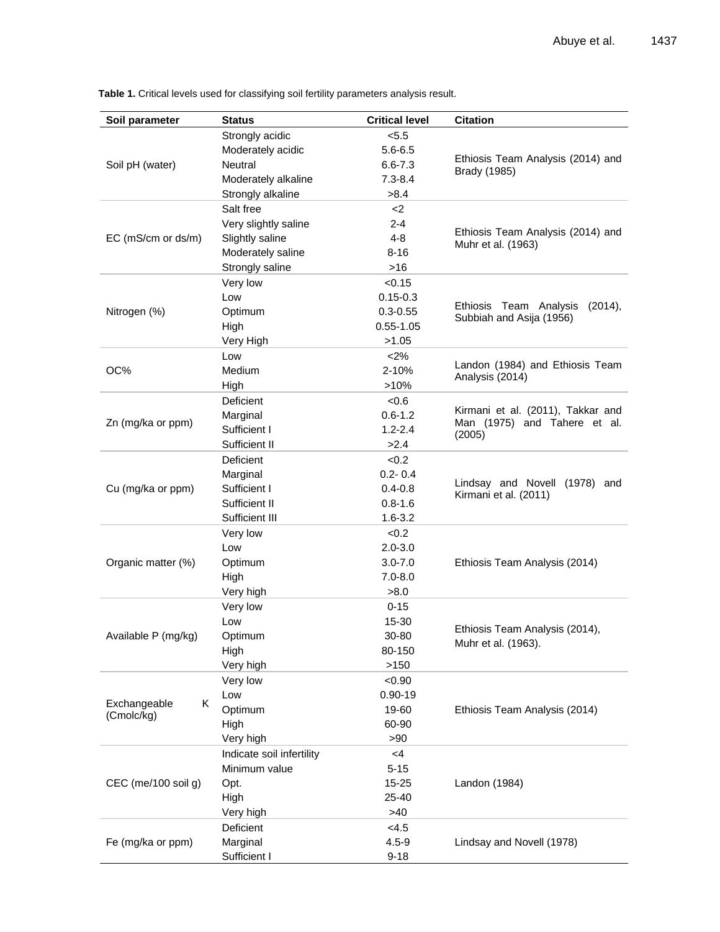| Soil parameter      | <b>Status</b>                   | <b>Critical level</b>      | <b>Citation</b>                   |
|---------------------|---------------------------------|----------------------------|-----------------------------------|
|                     | Strongly acidic                 | < 5.5                      |                                   |
|                     | Moderately acidic               | $5.6 - 6.5$                |                                   |
| Soil pH (water)     | Neutral                         | $6.6 - 7.3$                | Ethiosis Team Analysis (2014) and |
|                     | Moderately alkaline             | $7.3 - 8.4$                | Brady (1985)                      |
|                     | Strongly alkaline               | >8.4                       |                                   |
|                     | Salt free                       | $2$                        |                                   |
|                     | Very slightly saline            | $2 - 4$                    |                                   |
| EC (mS/cm or ds/m)  | Slightly saline                 | $4 - 8$                    | Ethiosis Team Analysis (2014) and |
|                     | Moderately saline               | $8 - 16$                   | Muhr et al. (1963)                |
|                     | Strongly saline                 | $>16$                      |                                   |
|                     | Very low                        | < 0.15                     |                                   |
|                     | Low                             | $0.15 - 0.3$               |                                   |
| Nitrogen (%)        | Optimum                         | $0.3 - 0.55$               | Ethiosis Team Analysis<br>(2014), |
|                     | High                            | $0.55 - 1.05$              | Subbiah and Asija (1956)          |
|                     | Very High                       | >1.05                      |                                   |
|                     | Low                             | < 2%                       |                                   |
| OC%                 | Medium                          | 2-10%                      | Landon (1984) and Ethiosis Team   |
|                     | High                            | >10%                       | Analysis (2014)                   |
|                     | Deficient                       | $-0.6$                     |                                   |
|                     | Marginal                        | $0.6 - 1.2$                | Kirmani et al. (2011), Takkar and |
| Zn (mg/ka or ppm)   | Sufficient I                    | $1.2 - 2.4$                | Man (1975) and Tahere et al.      |
|                     | Sufficient II                   | >2.4                       | (2005)                            |
|                     | Deficient                       |                            |                                   |
| Cu (mg/ka or ppm)   |                                 | <0.2                       |                                   |
|                     | Marginal<br>Sufficient I        | $0.2 - 0.4$                | Lindsay and Novell (1978) and     |
|                     |                                 | $0.4 - 0.8$                | Kirmani et al. (2011)             |
|                     | Sufficient II<br>Sufficient III | $0.8 - 1.6$<br>$1.6 - 3.2$ |                                   |
|                     |                                 |                            |                                   |
|                     | Very low                        | <0.2                       |                                   |
|                     | Low                             | $2.0 - 3.0$                |                                   |
| Organic matter (%)  | Optimum                         | $3.0 - 7.0$<br>$7.0 - 8.0$ | Ethiosis Team Analysis (2014)     |
|                     | High<br>Very high               | >8.0                       |                                   |
|                     |                                 |                            |                                   |
|                     | Very low                        | $0 - 15$<br>15-30          |                                   |
|                     | Low                             |                            | Ethiosis Team Analysis (2014),    |
| Available P (mg/kg) | Optimum                         | 30-80                      | Muhr et al. (1963).               |
|                     | High                            | 80-150<br>>150             |                                   |
|                     | Very high                       |                            |                                   |
|                     | Very low                        | < 0.90                     |                                   |
| Exchangeable<br>Κ   | Low                             | $0.90 - 19$                |                                   |
| (Cmolc/kg)          | Optimum                         | 19-60<br>60-90             | Ethiosis Team Analysis (2014)     |
|                     | High                            |                            |                                   |
|                     | Very high                       | > 90                       |                                   |
|                     | Indicate soil infertility       | <4                         |                                   |
|                     | Minimum value                   | $5 - 15$                   |                                   |
| CEC (me/100 soil g) | Opt.                            | $15 - 25$                  | Landon (1984)                     |
|                     | High                            | 25-40                      |                                   |
|                     | Very high                       | >40                        |                                   |
|                     | Deficient                       | < 4.5                      |                                   |
| Fe (mg/ka or ppm)   | Marginal                        | $4.5 - 9$                  | Lindsay and Novell (1978)         |
|                     | Sufficient I                    | $9 - 18$                   |                                   |

**Table 1.** Critical levels used for classifying soil fertility parameters analysis result.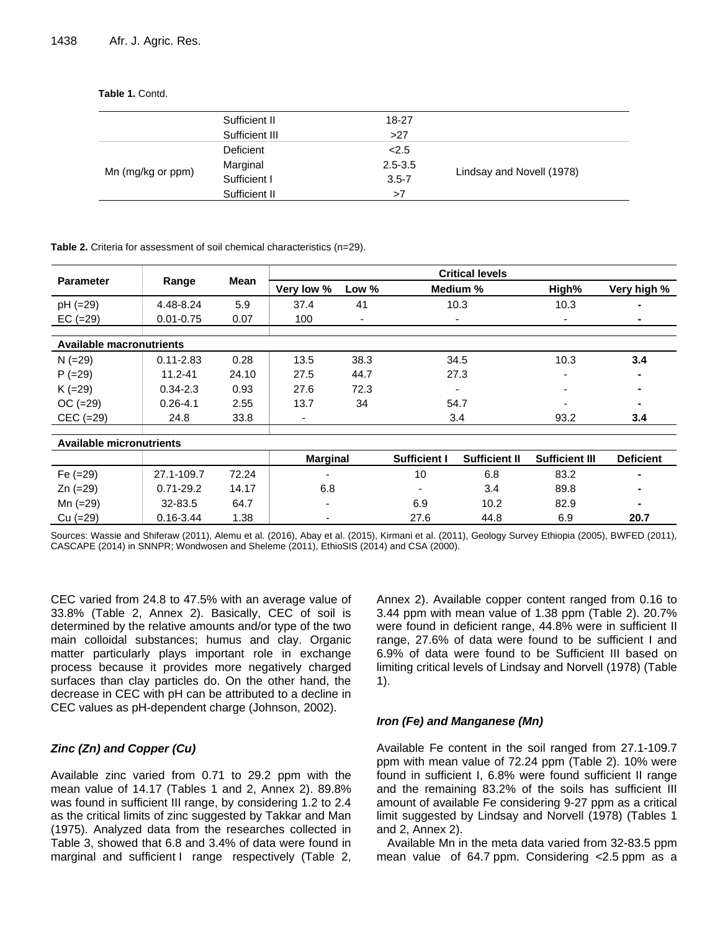**Table 1.** Contd.

| Sufficient II  | 18-27       |                           |
|----------------|-------------|---------------------------|
| Sufficient III | >27         |                           |
| Deficient      | 2.5         |                           |
| Marginal       | $2.5 - 3.5$ | Lindsay and Novell (1978) |
| Sufficient I   | $3.5 - 7$   |                           |
| Sufficient II  | >7          |                           |
|                |             |                           |

**Table 2.** Criteria for assessment of soil chemical characteristics (n=29).

|                                 |               |       |                 |                |                     | <b>Critical levels</b>   |                       |                  |
|---------------------------------|---------------|-------|-----------------|----------------|---------------------|--------------------------|-----------------------|------------------|
| <b>Parameter</b>                | Range         | Mean  | Very low %      | Low %          |                     | Medium %                 | High%                 | Very high %      |
| pH (=29)                        | 4.48-8.24     | 5.9   | 37.4            | 41             | 10.3                |                          | 10.3                  |                  |
| $EC (=29)$                      | $0.01 - 0.75$ | 0.07  | 100             | $\blacksquare$ |                     | $\overline{\phantom{a}}$ | ٠                     | $\blacksquare$   |
|                                 |               |       |                 |                |                     |                          |                       |                  |
| <b>Available macronutrients</b> |               |       |                 |                |                     |                          |                       |                  |
| $N (=29)$                       | $0.11 - 2.83$ | 0.28  | 13.5            | 38.3           |                     | 34.5                     | 10.3                  | 3.4              |
| $P (=29)$                       | $11.2 - 41$   | 24.10 | 27.5            | 44.7           |                     | 27.3                     | $\blacksquare$        | ۰                |
| $K (=29)$                       | $0.34 - 2.3$  | 0.93  | 27.6            | 72.3           | -                   |                          | $\blacksquare$        |                  |
| $OC (=29)$                      | $0.26 - 4.1$  | 2.55  | 13.7            | 34             | 54.7                |                          |                       |                  |
| $CEC (=29)$                     | 24.8          | 33.8  | ٠               |                | 3.4                 |                          | 93.2                  | 3.4              |
|                                 |               |       |                 |                |                     |                          |                       |                  |
| <b>Available micronutrients</b> |               |       |                 |                |                     |                          |                       |                  |
|                                 |               |       | <b>Marginal</b> |                | <b>Sufficient I</b> | <b>Sufficient II</b>     | <b>Sufficient III</b> | <b>Deficient</b> |
| Fe $(=29)$                      | 27.1-109.7    | 72.24 |                 |                |                     | 6.8<br>83.2<br>10        |                       |                  |
| $Zn (=29)$                      | $0.71 - 29.2$ | 14.17 | 6.8             |                |                     | 3.4                      | 89.8                  | $\blacksquare$   |
| Mn (=29)                        | 32-83.5       | 64.7  |                 |                | 6.9<br>10.2         |                          | 82.9                  |                  |
| Cu (=29)                        | $0.16 - 3.44$ | 1.38  |                 |                |                     | 27.6<br>44.8             |                       | 20.7             |

Sources: Wassie and Shiferaw (2011), Alemu et al. (2016), Abay et al. (2015), Kirmani et al. (2011), Geology Survey Ethiopia (2005), BWFED (2011), CASCAPE (2014) in SNNPR; Wondwosen and Sheleme (2011), EthioSIS (2014) and CSA (2000).

CEC varied from 24.8 to 47.5% with an average value of 33.8% (Table 2, Annex 2). Basically, CEC of soil is determined by the relative amounts and/or type of the two main colloidal substances; humus and clay. Organic matter particularly plays important role in exchange process because it provides more negatively charged surfaces than clay particles do. On the other hand, the decrease in CEC with pH can be attributed to a decline in CEC values as pH-dependent charge (Johnson, 2002).

#### *Zinc (Zn) and Copper (Cu)*

Available zinc varied from 0.71 to 29.2 ppm with the mean value of 14.17 (Tables 1 and 2, Annex 2). 89.8% was found in sufficient III range, by considering 1.2 to 2.4 as the critical limits of zinc suggested by Takkar and Man (1975). Analyzed data from the researches collected in Table 3, showed that 6.8 and 3.4% of data were found in marginal and sufficient I range respectively (Table 2,

Annex 2). Available copper content ranged from 0.16 to 3.44 ppm with mean value of 1.38 ppm (Table 2). 20.7% were found in deficient range, 44.8% were in sufficient II range, 27.6% of data were found to be sufficient I and 6.9% of data were found to be Sufficient III based on limiting critical levels of Lindsay and Norvell (1978) (Table 1).

#### *Iron (Fe) and Manganese (Mn)*

Available Fe content in the soil ranged from 27.1-109.7 ppm with mean value of 72.24 ppm (Table 2). 10% were found in sufficient I, 6.8% were found sufficient II range and the remaining 83.2% of the soils has sufficient III amount of available Fe considering 9-27 ppm as a critical limit suggested by Lindsay and Norvell (1978) (Tables 1 and 2, Annex 2).

Available Mn in the meta data varied from 32-83.5 ppm mean value of 64.7 ppm. Considering <2.5 ppm as a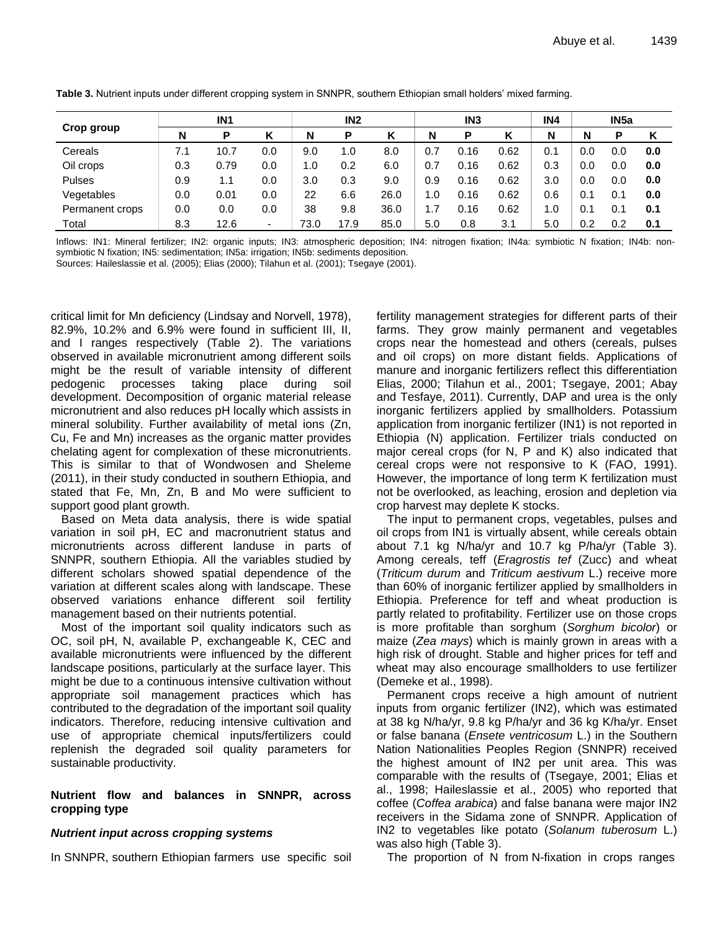|                 | IN <sub>1</sub> |      |     | IN <sub>2</sub> |      |      |     | IN <sub>3</sub> |      | IN4 |     |     |     |
|-----------------|-----------------|------|-----|-----------------|------|------|-----|-----------------|------|-----|-----|-----|-----|
| Crop group      | N               | Р    |     | N               | P    | Κ    | N   | P               |      | N   | N   | Р   | ĸ   |
| Cereals         | 7.1             | 10.7 | 0.0 | 9.0             | 1.0  | 8.0  | 0.7 | 0.16            | 0.62 | 0.1 | 0.0 | 0.0 | 0.0 |
| Oil crops       | 0.3             | 0.79 | 0.0 | 1.0             | 0.2  | 6.0  | 0.7 | 0.16            | 0.62 | 0.3 | 0.0 | 0.0 | 0.0 |
| <b>Pulses</b>   | 0.9             | 1.1  | 0.0 | 3.0             | 0.3  | 9.0  | 0.9 | 0.16            | 0.62 | 3.0 | 0.0 | 0.0 | 0.0 |
| Vegetables      | 0.0             | 0.01 | 0.0 | 22              | 6.6  | 26.0 | 1.0 | 0.16            | 0.62 | 0.6 | 0.1 | 0.1 | 0.0 |
| Permanent crops | 0.0             | 0.0  | 0.0 | 38              | 9.8  | 36.0 | 1.7 | 0.16            | 0.62 | 1.0 | 0.1 | 0.1 | 0.1 |
| Total           | 8.3             | 12.6 | -   | 73.0            | 17.9 | 85.0 | 5.0 | 0.8             | 3.1  | 5.0 | 0.2 | 0.2 | 0.1 |

**Table 3.** Nutrient inputs under different cropping system in SNNPR, southern Ethiopian small holders' mixed farming.

Inflows: IN1: Mineral fertilizer; IN2: organic inputs; IN3: atmospheric deposition; IN4: nitrogen fixation; IN4a: symbiotic N fixation; IN4b: nonsymbiotic N fixation; IN5: sedimentation; IN5a: irrigation; IN5b: sediments deposition.

Sources: Haileslassie et al. (2005); Elias (2000); Tilahun et al. (2001); Tsegaye (2001).

critical limit for Mn deficiency (Lindsay and Norvell, 1978), 82.9%, 10.2% and 6.9% were found in sufficient III, II, and I ranges respectively (Table 2). The variations observed in available micronutrient among different soils might be the result of variable intensity of different pedogenic processes taking place during soil development. Decomposition of organic material release micronutrient and also reduces pH locally which assists in mineral solubility. Further availability of metal ions (Zn, Cu, Fe and Mn) increases as the organic matter provides chelating agent for complexation of these micronutrients. This is similar to that of Wondwosen and Sheleme (2011), in their study conducted in southern Ethiopia, and stated that Fe, Mn, Zn, B and Mo were sufficient to support good plant growth.

Based on Meta data analysis, there is wide spatial variation in soil pH, EC and macronutrient status and micronutrients across different landuse in parts of SNNPR, southern Ethiopia. All the variables studied by different scholars showed spatial dependence of the variation at different scales along with landscape. These observed variations enhance different soil fertility management based on their nutrients potential.

Most of the important soil quality indicators such as OC, soil pH, N, available P, exchangeable K, CEC and available micronutrients were influenced by the different landscape positions, particularly at the surface layer. This might be due to a continuous intensive cultivation without appropriate soil management practices which has contributed to the degradation of the important soil quality indicators. Therefore, reducing intensive cultivation and use of appropriate chemical inputs/fertilizers could replenish the degraded soil quality parameters for sustainable productivity.

#### **Nutrient flow and balances in SNNPR, across cropping type**

#### *Nutrient input across cropping systems*

In SNNPR, southern Ethiopian farmers use specific soil

fertility management strategies for different parts of their farms. They grow mainly permanent and vegetables crops near the homestead and others (cereals, pulses and oil crops) on more distant fields. Applications of manure and inorganic fertilizers reflect this differentiation Elias, 2000; Tilahun et al., 2001; Tsegaye, 2001; Abay and Tesfaye, 2011). Currently, DAP and urea is the only inorganic fertilizers applied by smallholders. Potassium application from inorganic fertilizer (IN1) is not reported in Ethiopia (N) application. Fertilizer trials conducted on major cereal crops (for N, P and K) also indicated that cereal crops were not responsive to K (FAO, 1991). However, the importance of long term K fertilization must not be overlooked, as leaching, erosion and depletion via crop harvest may deplete K stocks.

The input to permanent crops, vegetables, pulses and oil crops from IN1 is virtually absent, while cereals obtain about 7.1 kg N/ha/yr and 10.7 kg P/ha/yr (Table 3). Among cereals, teff (*Eragrostis tef* (Zucc) and wheat (*Triticum durum* and *Triticum aestivum* L.) receive more than 60% of inorganic fertilizer applied by smallholders in Ethiopia. Preference for teff and wheat production is partly related to profitability. Fertilizer use on those crops is more profitable than sorghum (*Sorghum bicolor*) or maize (*Zea mays*) which is mainly grown in areas with a high risk of drought. Stable and higher prices for teff and wheat may also encourage smallholders to use fertilizer (Demeke et al., 1998).

Permanent crops receive a high amount of nutrient inputs from organic fertilizer (IN2), which was estimated at 38 kg N/ha/yr, 9.8 kg P/ha/yr and 36 kg K/ha/yr. Enset or false banana (*Ensete ventricosum* L.) in the Southern Nation Nationalities Peoples Region (SNNPR) received the highest amount of IN2 per unit area. This was comparable with the results of (Tsegaye, 2001; Elias et al., 1998; Haileslassie et al., 2005) who reported that coffee (*Coffea arabica*) and false banana were major IN2 receivers in the Sidama zone of SNNPR. Application of IN2 to vegetables like potato (*Solanum tuberosum* L.) was also high (Table 3).

The proportion of N from N-fixation in crops ranges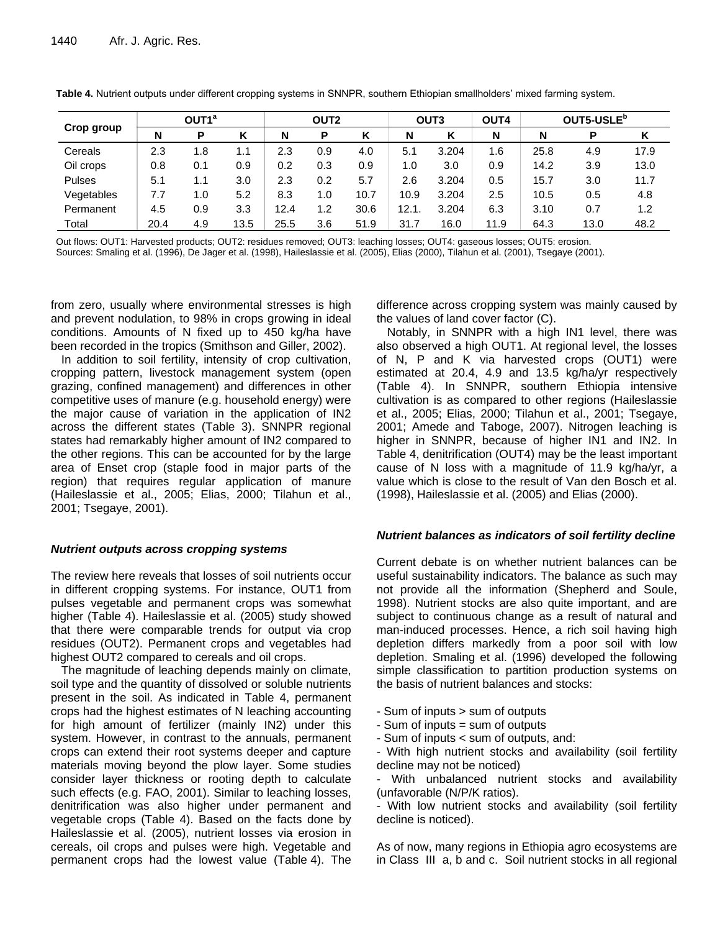|               |      | OUT1 <sup>a</sup> |      | <b>OUT2</b> |     |      |      | OUT <sub>3</sub> | OUT4 | OUT5-USLE <sup>b</sup> |      |      |  |
|---------------|------|-------------------|------|-------------|-----|------|------|------------------|------|------------------------|------|------|--|
| Crop group    | N    | P                 |      | N           | P   | κ    | N    | Κ                | N    | N                      | P    |      |  |
| Cereals       | 2.3  | 1.8               | 1.1  | 2.3         | 0.9 | 4.0  | 5.1  | 3.204            | 1.6  | 25.8                   | 4.9  | 17.9 |  |
| Oil crops     | 0.8  | 0.1               | 0.9  | 0.2         | 0.3 | 0.9  | 1.0  | 3.0              | 0.9  | 14.2                   | 3.9  | 13.0 |  |
| <b>Pulses</b> | 5.1  | 1.1               | 3.0  | 2.3         | 0.2 | 5.7  | 2.6  | 3.204            | 0.5  | 15.7                   | 3.0  | 11.7 |  |
| Vegetables    | 7.7  | 1.0               | 5.2  | 8.3         | 1.0 | 10.7 | 10.9 | 3.204            | 2.5  | 10.5                   | 0.5  | 4.8  |  |
| Permanent     | 4.5  | 0.9               | 3.3  | 12.4        | 1.2 | 30.6 | 12.1 | 3.204            | 6.3  | 3.10                   | 0.7  | 1.2  |  |
| Total         | 20.4 | 4.9               | 13.5 | 25.5        | 3.6 | 51.9 | 31.7 | 16.0             | 11.9 | 64.3                   | 13.0 | 48.2 |  |

**Table 4.** Nutrient outputs under different cropping systems in SNNPR, southern Ethiopian smallholders' mixed farming system.

Out flows: OUT1: Harvested products; OUT2: residues removed; OUT3: leaching losses; OUT4: gaseous losses; OUT5: erosion. Sources: Smaling et al. (1996), De Jager et al. (1998), Haileslassie et al. (2005), Elias (2000), Tilahun et al. (2001), Tsegaye (2001).

from zero, usually where environmental stresses is high and prevent nodulation, to 98% in crops growing in ideal conditions. Amounts of N fixed up to 450 kg/ha have been recorded in the tropics (Smithson and Giller, 2002).

In addition to soil fertility, intensity of crop cultivation, cropping pattern, livestock management system (open grazing, confined management) and differences in other competitive uses of manure (e.g. household energy) were the major cause of variation in the application of IN2 across the different states (Table 3). SNNPR regional states had remarkably higher amount of IN2 compared to the other regions. This can be accounted for by the large area of Enset crop (staple food in major parts of the region) that requires regular application of manure (Haileslassie et al., 2005; Elias, 2000; Tilahun et al., 2001; Tsegaye, 2001).

#### *Nutrient outputs across cropping systems*

The review here reveals that losses of soil nutrients occur in different cropping systems. For instance, OUT1 from pulses vegetable and permanent crops was somewhat higher (Table 4). Haileslassie et al. (2005) study showed that there were comparable trends for output via crop residues (OUT2). Permanent crops and vegetables had highest OUT2 compared to cereals and oil crops.

The magnitude of leaching depends mainly on climate, soil type and the quantity of dissolved or soluble nutrients present in the soil. As indicated in Table 4, permanent crops had the highest estimates of N leaching accounting for high amount of fertilizer (mainly IN2) under this system. However, in contrast to the annuals, permanent crops can extend their root systems deeper and capture materials moving beyond the plow layer. Some studies consider layer thickness or rooting depth to calculate such effects (e.g. FAO, 2001). Similar to leaching losses, denitrification was also higher under permanent and vegetable crops (Table 4). Based on the facts done by Haileslassie et al. (2005), nutrient losses via erosion in cereals, oil crops and pulses were high. Vegetable and permanent crops had the lowest value (Table 4). The difference across cropping system was mainly caused by the values of land cover factor (C).

Notably, in SNNPR with a high IN1 level, there was also observed a high OUT1. At regional level, the losses of N, P and K via harvested crops (OUT1) were estimated at 20.4, 4.9 and 13.5 kg/ha/yr respectively (Table 4). In SNNPR, southern Ethiopia intensive cultivation is as compared to other regions (Haileslassie et al., 2005; Elias, 2000; Tilahun et al., 2001; Tsegaye, 2001; Amede and Taboge, 2007). Nitrogen leaching is higher in SNNPR, because of higher IN1 and IN2. In Table 4, denitrification (OUT4) may be the least important cause of N loss with a magnitude of 11.9 kg/ha/yr, a value which is close to the result of Van den Bosch et al. (1998), Haileslassie et al. (2005) and Elias (2000).

#### *Nutrient balances as indicators of soil fertility decline*

Current debate is on whether nutrient balances can be useful sustainability indicators. The balance as such may not provide all the information (Shepherd and Soule, 1998). Nutrient stocks are also quite important, and are subject to continuous change as a result of natural and man-induced processes. Hence, a rich soil having high depletion differs markedly from a poor soil with low depletion. Smaling et al. (1996) developed the following simple classification to partition production systems on the basis of nutrient balances and stocks:

- Sum of inputs > sum of outputs
- Sum of inputs = sum of outputs
- Sum of inputs < sum of outputs, and:

- With high nutrient stocks and availability (soil fertility decline may not be noticed)

- With unbalanced nutrient stocks and availability (unfavorable (N/P/K ratios).

- With low nutrient stocks and availability (soil fertility decline is noticed).

As of now, many regions in Ethiopia agro ecosystems are in Class III a, b and c. Soil nutrient stocks in all regional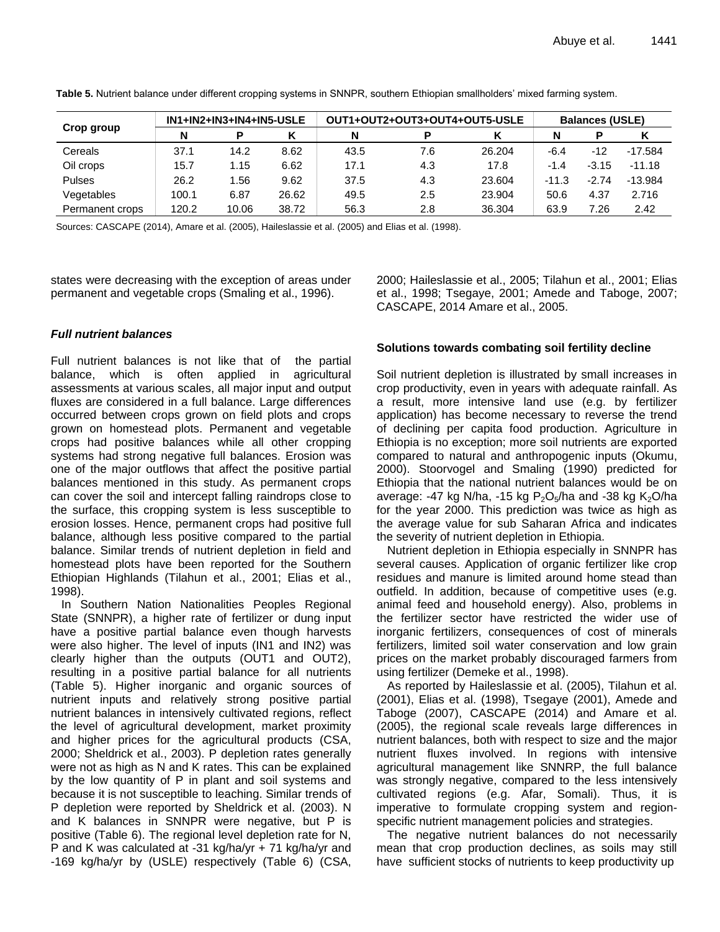| Crop group      |       | IN1+IN2+IN3+IN4+IN5-USLE |       |      | OUT1+OUT2+OUT3+OUT4+OUT5-USLE | <b>Balances (USLE)</b> |        |         |           |  |
|-----------------|-------|--------------------------|-------|------|-------------------------------|------------------------|--------|---------|-----------|--|
|                 | N     |                          |       | N    |                               |                        |        |         |           |  |
| Cereals         | 37.1  | 14.2                     | 8.62  | 43.5 | 7.6                           | 26.204                 | $-6.4$ | $-12$   | $-17.584$ |  |
| Oil crops       | 15.7  | 1.15                     | 6.62  | 17.1 | 4.3                           | 17.8                   | $-1.4$ | $-3.15$ | $-11.18$  |  |
| <b>Pulses</b>   | 26.2  | 1.56                     | 9.62  | 37.5 | 4.3                           | 23.604                 | -11.3  | $-2.74$ | $-13.984$ |  |
| Vegetables      | 100.1 | 6.87                     | 26.62 | 49.5 | 2.5                           | 23.904                 | 50.6   | 4.37    | 2.716     |  |
| Permanent crops | 120.2 | 10.06                    | 38.72 | 56.3 | 2.8                           | 36.304                 | 63.9   | 7.26    | 2.42      |  |

**Table 5.** Nutrient balance under different cropping systems in SNNPR, southern Ethiopian smallholders' mixed farming system.

Sources: CASCAPE (2014), Amare et al. (2005), Haileslassie et al. (2005) and Elias et al. (1998).

states were decreasing with the exception of areas under permanent and vegetable crops (Smaling et al., 1996).

#### *Full nutrient balances*

Full nutrient balances is not like that of the partial balance, which is often applied in agricultural assessments at various scales, all major input and output fluxes are considered in a full balance. Large differences occurred between crops grown on field plots and crops grown on homestead plots. Permanent and vegetable crops had positive balances while all other cropping systems had strong negative full balances. Erosion was one of the major outflows that affect the positive partial balances mentioned in this study. As permanent crops can cover the soil and intercept falling raindrops close to the surface, this cropping system is less susceptible to erosion losses. Hence, permanent crops had positive full balance, although less positive compared to the partial balance. Similar trends of nutrient depletion in field and homestead plots have been reported for the Southern Ethiopian Highlands (Tilahun et al., 2001; Elias et al., 1998).

In Southern Nation Nationalities Peoples Regional State (SNNPR), a higher rate of fertilizer or dung input have a positive partial balance even though harvests were also higher. The level of inputs (IN1 and IN2) was clearly higher than the outputs (OUT1 and OUT2), resulting in a positive partial balance for all nutrients (Table 5). Higher inorganic and organic sources of nutrient inputs and relatively strong positive partial nutrient balances in intensively cultivated regions, reflect the level of agricultural development, market proximity and higher prices for the agricultural products (CSA, 2000; Sheldrick et al., 2003). P depletion rates generally were not as high as N and K rates. This can be explained by the low quantity of P in plant and soil systems and because it is not susceptible to leaching. Similar trends of P depletion were reported by Sheldrick et al. (2003). N and K balances in SNNPR were negative, but P is positive (Table 6). The regional level depletion rate for N, P and K was calculated at -31 kg/ha/yr + 71 kg/ha/yr and -169 kg/ha/yr by (USLE) respectively (Table 6) (CSA,

2000; Haileslassie et al., 2005; Tilahun et al., 2001; Elias et al., 1998; Tsegaye, 2001; Amede and Taboge, 2007; CASCAPE, 2014 Amare et al., 2005.

#### **Solutions towards combating soil fertility decline**

Soil nutrient depletion is illustrated by small increases in crop productivity, even in years with adequate rainfall. As a result, more intensive land use (e.g. by fertilizer application) has become necessary to reverse the trend of declining per capita food production. Agriculture in Ethiopia is no exception; more soil nutrients are exported compared to natural and anthropogenic inputs (Okumu, 2000). Stoorvogel and Smaling (1990) predicted for Ethiopia that the national nutrient balances would be on average: -47 kg N/ha, -15 kg  $P_2O_5/ha$  and -38 kg K<sub>2</sub>O/ha for the year 2000. This prediction was twice as high as the average value for sub Saharan Africa and indicates the severity of nutrient depletion in Ethiopia.

Nutrient depletion in Ethiopia especially in SNNPR has several causes. Application of organic fertilizer like crop residues and manure is limited around home stead than outfield. In addition, because of competitive uses (e.g. animal feed and household energy). Also, problems in the fertilizer sector have restricted the wider use of inorganic fertilizers, consequences of cost of minerals fertilizers, limited soil water conservation and low grain prices on the market probably discouraged farmers from using fertilizer (Demeke et al., 1998).

As reported by Haileslassie et al. (2005), Tilahun et al. (2001), Elias et al. (1998), Tsegaye (2001), Amede and Taboge (2007), CASCAPE (2014) and Amare et al. (2005), the regional scale reveals large differences in nutrient balances, both with respect to size and the major nutrient fluxes involved. In regions with intensive agricultural management like SNNRP, the full balance was strongly negative, compared to the less intensively cultivated regions (e.g. Afar, Somali). Thus, it is imperative to formulate cropping system and regionspecific nutrient management policies and strategies.

The negative nutrient balances do not necessarily mean that crop production declines, as soils may still have sufficient stocks of nutrients to keep productivity up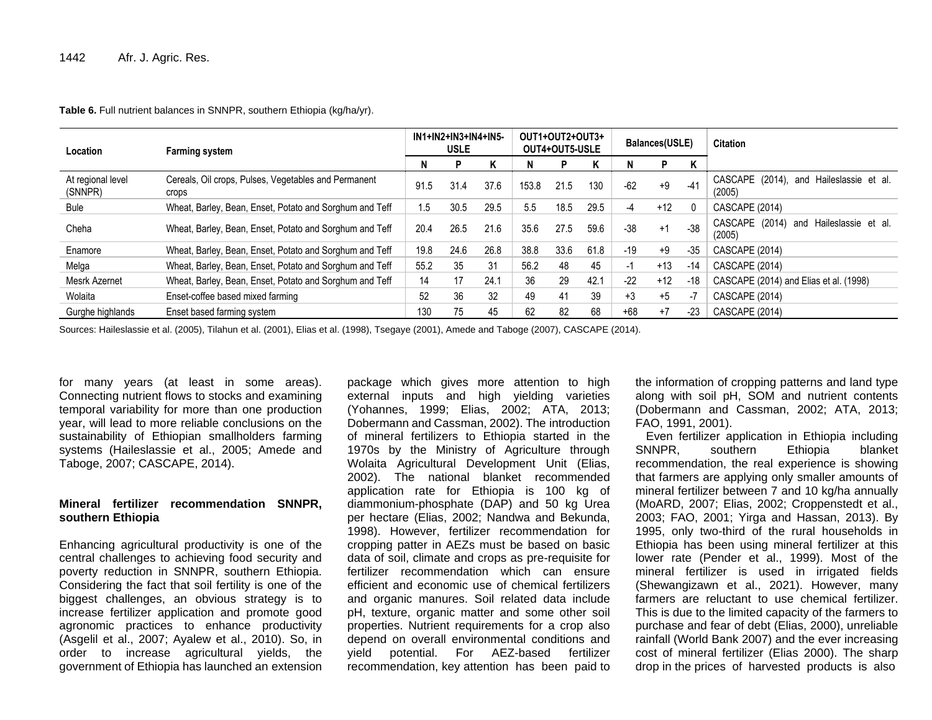#### **Table 6.** Full nutrient balances in SNNPR, southern Ethiopia (kg/ha/yr).

| Location                     | <b>Farming system</b>                                         |      | IN1+IN2+IN3+IN4+IN5-<br><b>USLE</b> | OUT1+OUT2+OUT3+<br>OUT4+OUT5-USLE |       |      |      | Balances(USLE) |       | <b>Citation</b> |                                                      |
|------------------------------|---------------------------------------------------------------|------|-------------------------------------|-----------------------------------|-------|------|------|----------------|-------|-----------------|------------------------------------------------------|
|                              |                                                               | N    | P                                   | Κ                                 |       |      | Κ    |                | P     | ĸ               |                                                      |
| At regional level<br>(SNNPR) | Cereals, Oil crops, Pulses, Vegetables and Permanent<br>crops | 91.5 | 31.4                                | 37.6                              | 153.8 | 21.5 | 130  | $-62$          | $+9$  | $-41$           | CASCAPE (2014),<br>and Haileslassie et al.<br>(2005) |
| <b>Bule</b>                  | Wheat, Barley, Bean, Enset, Potato and Sorghum and Teff       | 1.5  | 30.5                                | 29.5                              | 5.5   | 18.5 | 29.5 | -4             | $+12$ |                 | CASCAPE (2014)                                       |
| Cheha                        | Wheat, Barley, Bean, Enset, Potato and Sorghum and Teff       | 20.4 | 26.5                                | 21.6                              | 35.6  | 27.5 | 59.6 | $-38$          | $+1$  | $-38$           | CASCAPE (2014)<br>and Haileslassie et al.<br>(2005)  |
| Enamore                      | Wheat, Barley, Bean, Enset, Potato and Sorghum and Teff       | 19.8 | 24.6                                | 26.8                              | 38.8  | 33.6 | 61.8 | $-19$          | $+9$  | $-35$           | CASCAPE (2014)                                       |
| Melga                        | Wheat, Barley, Bean, Enset, Potato and Sorghum and Teff       | 55.2 | 35                                  | 31                                | 56.2  | 48   | 45   | -1             | $+13$ | -14             | CASCAPE (2014)                                       |
| <b>Mesrk Azernet</b>         | Wheat, Barley, Bean, Enset, Potato and Sorghum and Teff       | 14   | 17                                  | 24.1                              | 36    | 29   | 42.1 | $-22$          | $+12$ | $-18$           | CASCAPE (2014) and Elias et al. (1998)               |
| Wolaita                      | Enset-coffee based mixed farming                              | 52   | 36                                  | 32                                | 49    | 41   | 39   | $+3$           | $+5$  | чJ,             | CASCAPE (2014)                                       |
| Gurghe highlands             | Enset based farming system                                    | 130  | 75                                  | 45                                | 62    | 82   | 68   | $+68$          | $+7$  | $-23$           | CASCAPE (2014)                                       |

Sources: Haileslassie et al. (2005), Tilahun et al. (2001), Elias et al. (1998), Tsegaye (2001), Amede and Taboge (2007), CASCAPE (2014).

for many years (at least in some areas). Connecting nutrient flows to stocks and examining temporal variability for more than one production year, will lead to more reliable conclusions on the sustainability of Ethiopian smallholders farming systems (Haileslassie et al., 2005; Amede and Taboge, 2007; CASCAPE, 2014).

#### **Mineral fertilizer recommendation SNNPR, southern Ethiopia**

Enhancing agricultural productivity is one of the central challenges to achieving food security and poverty reduction in SNNPR, southern Ethiopia. Considering the fact that soil fertility is one of the biggest challenges, an obvious strategy is to increase fertilizer application and promote good agronomic practices to enhance productivity (Asgelil et al., 2007; Ayalew et al., 2010). So, in order to increase agricultural yields, the government of Ethiopia has launched an extension

package which gives more attention to high external inputs and high yielding varieties (Yohannes, 1999; Elias, 2002; ATA, 2013; Dobermann and Cassman, 2002). The introduction of mineral fertilizers to Ethiopia started in the 1970s by the Ministry of Agriculture through Wolaita Agricultural Development Unit (Elias, 2002). The national blanket recommended application rate for Ethiopia is 100 kg of diammonium-phosphate (DAP) and 50 kg Urea per hectare (Elias, 2002; Nandwa and Bekunda, 1998). However, fertilizer recommendation for cropping patter in AEZs must be based on basic data of soil, climate and crops as pre-requisite for fertilizer recommendation which can ensure efficient and economic use of chemical fertilizers and organic manures. Soil related data include pH, texture, organic matter and some other soil properties. Nutrient requirements for a crop also depend on overall environmental conditions and yield potential. For AEZ-based fertilizer recommendation, key attention has been paid to the information of cropping patterns and land type along with soil pH, SOM and nutrient contents (Dobermann and Cassman, 2002; ATA, 2013; FAO, 1991, 2001).

Even fertilizer application in Ethiopia including SNNPR, southern Ethiopia blanket recommendation, the real experience is showing that farmers are applying only smaller amounts of mineral fertilizer between 7 and 10 kg/ha annually (MoARD, 2007; Elias, 2002; Croppenstedt et al., 2003; FAO, 2001; Yirga and Hassan, 2013). By 1995, only two-third of the rural households in Ethiopia has been using mineral fertilizer at this lower rate (Pender et al., 1999). Most of the mineral fertilizer is used in irrigated fields (Shewangizawn et al., 2021). However, many farmers are reluctant to use chemical fertilizer. This is due to the limited capacity of the farmers to purchase and fear of debt (Elias, 2000), unreliable rainfall (World Bank 2007) and the ever increasing cost of mineral fertilizer (Elias 2000). The sharp drop in the prices of harvested products is also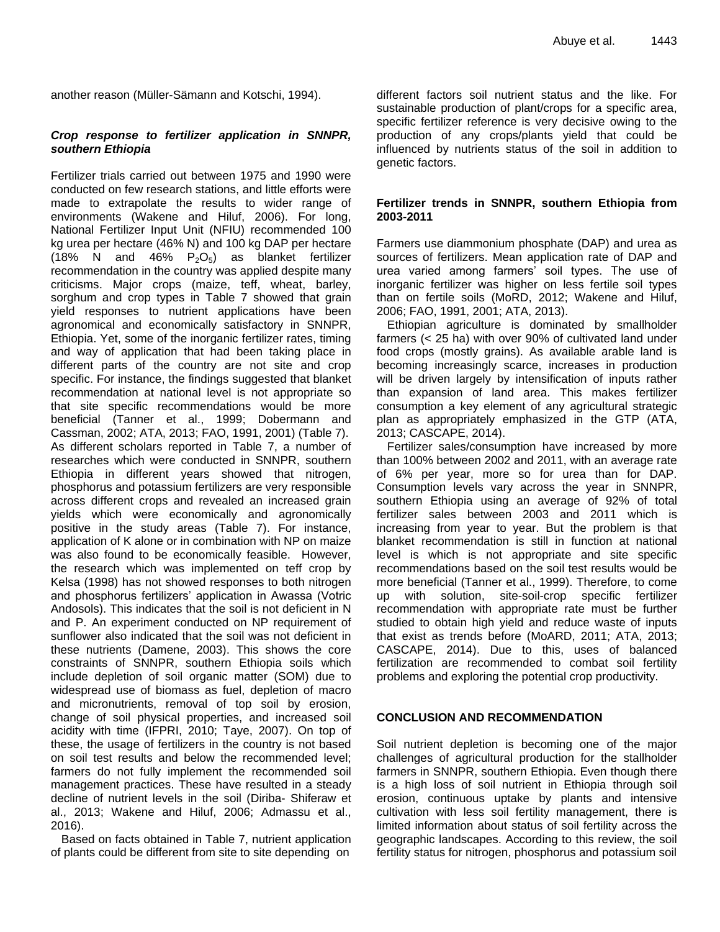another reason (Müller-Sämann and Kotschi, 1994).

#### *Crop response to fertilizer application in SNNPR, southern Ethiopia*

Fertilizer trials carried out between 1975 and 1990 were conducted on few research stations, and little efforts were made to extrapolate the results to wider range of environments (Wakene and Hiluf, 2006). For long, National Fertilizer Input Unit (NFIU) recommended 100 kg urea per hectare (46% N) and 100 kg DAP per hectare (18% N and 46%  $P_2O_5$ ) as blanket fertilizer recommendation in the country was applied despite many criticisms. Major crops (maize, teff, wheat, barley, sorghum and crop types in Table 7 showed that grain yield responses to nutrient applications have been agronomical and economically satisfactory in SNNPR, Ethiopia. Yet, some of the inorganic fertilizer rates, timing and way of application that had been taking place in different parts of the country are not site and crop specific. For instance, the findings suggested that blanket recommendation at national level is not appropriate so that site specific recommendations would be more beneficial (Tanner et al., 1999; Dobermann and Cassman, 2002; ATA, 2013; FAO, 1991, 2001) (Table 7). As different scholars reported in Table 7, a number of researches which were conducted in SNNPR, southern Ethiopia in different years showed that nitrogen, phosphorus and potassium fertilizers are very responsible across different crops and revealed an increased grain yields which were economically and agronomically positive in the study areas (Table 7). For instance, application of K alone or in combination with NP on maize was also found to be economically feasible. However, the research which was implemented on teff crop by Kelsa (1998) has not showed responses to both nitrogen and phosphorus fertilizers' application in Awassa (Votric Andosols). This indicates that the soil is not deficient in N and P. An experiment conducted on NP requirement of sunflower also indicated that the soil was not deficient in these nutrients (Damene, 2003). This shows the core constraints of SNNPR, southern Ethiopia soils which include depletion of soil organic matter (SOM) due to widespread use of biomass as fuel, depletion of macro and micronutrients, removal of top soil by erosion, change of soil physical properties, and increased soil acidity with time (IFPRI, 2010; Taye, 2007). On top of these, the usage of fertilizers in the country is not based on soil test results and below the recommended level; farmers do not fully implement the recommended soil management practices. These have resulted in a steady decline of nutrient levels in the soil (Diriba- Shiferaw et al., 2013; Wakene and Hiluf, 2006; Admassu et al., 2016).

Based on facts obtained in Table 7, nutrient application of plants could be different from site to site depending on different factors soil nutrient status and the like. For sustainable production of plant/crops for a specific area, specific fertilizer reference is very decisive owing to the production of any crops/plants yield that could be influenced by nutrients status of the soil in addition to genetic factors.

#### **Fertilizer trends in SNNPR, southern Ethiopia from 2003-2011**

Farmers use diammonium phosphate (DAP) and urea as sources of fertilizers. Mean application rate of DAP and urea varied among farmers' soil types. The use of inorganic fertilizer was higher on less fertile soil types than on fertile soils (MoRD, 2012; Wakene and Hiluf, 2006; FAO, 1991, 2001; ATA, 2013).

Ethiopian agriculture is dominated by smallholder farmers (< 25 ha) with over 90% of cultivated land under food crops (mostly grains). As available arable land is becoming increasingly scarce, increases in production will be driven largely by intensification of inputs rather than expansion of land area. This makes fertilizer consumption a key element of any agricultural strategic plan as appropriately emphasized in the GTP (ATA, 2013; CASCAPE, 2014).

Fertilizer sales/consumption have increased by more than 100% between 2002 and 2011, with an average rate of 6% per year, more so for urea than for DAP. Consumption levels vary across the year in SNNPR, southern Ethiopia using an average of 92% of total fertilizer sales between 2003 and 2011 which is increasing from year to year. But the problem is that blanket recommendation is still in function at national level is which is not appropriate and site specific recommendations based on the soil test results would be more beneficial (Tanner et al., 1999). Therefore, to come up with solution, site-soil-crop specific fertilizer recommendation with appropriate rate must be further studied to obtain high yield and reduce waste of inputs that exist as trends before (MoARD, 2011; ATA, 2013; CASCAPE, 2014). Due to this, uses of balanced fertilization are recommended to combat soil fertility problems and exploring the potential crop productivity.

#### **CONCLUSION AND RECOMMENDATION**

Soil nutrient depletion is becoming one of the major challenges of agricultural production for the stallholder farmers in SNNPR, southern Ethiopia. Even though there is a high loss of soil nutrient in Ethiopia through soil erosion, continuous uptake by plants and intensive cultivation with less soil fertility management, there is limited information about status of soil fertility across the geographic landscapes. According to this review, the soil fertility status for nitrogen, phosphorus and potassium soil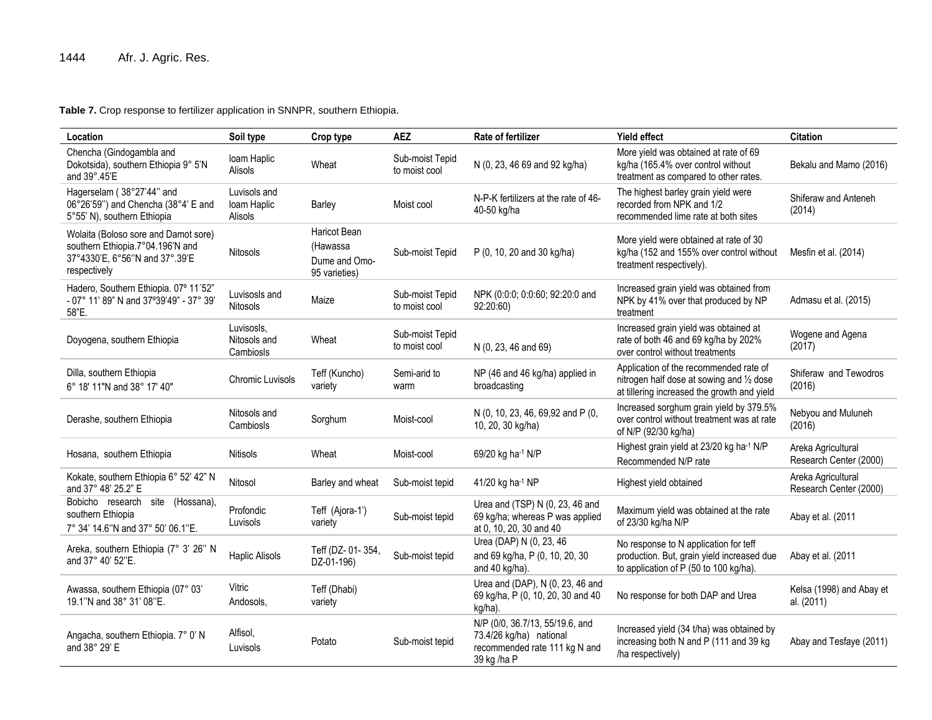**Table 7.** Crop response to fertilizer application in SNNPR, southern Ethiopia.

| Location                                                                                                                   | Soil type                               | Crop type                                                  | <b>AEZ</b>                       | Rate of fertilizer                                                                                         | <b>Yield effect</b>                                                                                                                | <b>Citation</b>                              |
|----------------------------------------------------------------------------------------------------------------------------|-----------------------------------------|------------------------------------------------------------|----------------------------------|------------------------------------------------------------------------------------------------------------|------------------------------------------------------------------------------------------------------------------------------------|----------------------------------------------|
| Chencha (Gindogambla and<br>Dokotsida), southern Ethiopia 9° 5'N<br>and 39°.45'E                                           | loam Haplic<br>Alisols                  | Wheat                                                      | Sub-moist Tepid<br>to moist cool | N (0, 23, 46 69 and 92 kg/ha)                                                                              | More yield was obtained at rate of 69<br>kg/ha (165.4% over control without<br>treatment as compared to other rates.               | Bekalu and Mamo (2016)                       |
| Hagerselam (38°27'44" and<br>06°26'59") and Chencha (38°4' E and<br>5°55' N), southern Ethiopia                            | Luvisols and<br>Ioam Haplic<br>Alisols  | Barley                                                     | Moist cool                       | N-P-K fertilizers at the rate of 46-<br>40-50 kg/ha                                                        | The highest barley grain yield were<br>recorded from NPK and 1/2<br>recommended lime rate at both sites                            | Shiferaw and Anteneh<br>(2014)               |
| Wolaita (Boloso sore and Damot sore)<br>southern Ethiopia.7°04.196'N and<br>37°4330'E, 6°56"N and 37°.39'E<br>respectively | <b>Nitosols</b>                         | Haricot Bean<br>(Hawassa<br>Dume and Omo-<br>95 varieties) | Sub-moist Tepid                  | P (0, 10, 20 and 30 kg/ha)                                                                                 | More yield were obtained at rate of 30<br>kg/ha (152 and 155% over control without<br>treatment respectively).                     | Mesfin et al. (2014)                         |
| Hadero, Southern Ethiopia. 07° 11'52"<br>- 07° 11' 89" N and 37°39'49" - 37° 39'<br>58"E.                                  | Luvisosls and<br><b>Nitosols</b>        | Maize                                                      | Sub-moist Tepid<br>to moist cool | NPK (0:0:0; 0:0:60; 92:20:0 and<br>92:20:60)                                                               | Increased grain yield was obtained from<br>NPK by 41% over that produced by NP<br>treatment                                        | Admasu et al. (2015)                         |
| Doyogena, southern Ethiopia                                                                                                | Luvisosls.<br>Nitosols and<br>Cambiosls | Wheat                                                      | Sub-moist Tepid<br>to moist cool | N (0, 23, 46 and 69)                                                                                       | Increased grain yield was obtained at<br>rate of both 46 and 69 kg/ha by 202%<br>over control without treatments                   | Wogene and Agena<br>(2017)                   |
| Dilla, southern Ethiopia<br>6° 18' 11"N and 38° 17' 40"                                                                    | Chromic Luvisols                        | Teff (Kuncho)<br>variety                                   | Semi-arid to<br>warm             | NP (46 and 46 kg/ha) applied in<br>broadcasting                                                            | Application of the recommended rate of<br>nitrogen half dose at sowing and 1/2 dose<br>at tillering increased the growth and yield | Shiferaw and Tewodros<br>(2016)              |
| Derashe, southern Ethiopia                                                                                                 | Nitosols and<br>Cambiosls               | Sorghum                                                    | Moist-cool                       | N (0, 10, 23, 46, 69,92 and P (0,<br>10, 20, 30 kg/ha)                                                     | Increased sorghum grain yield by 379.5%<br>over control without treatment was at rate<br>of N/P (92/30 kg/ha)                      | Nebyou and Muluneh<br>(2016)                 |
| Hosana, southern Ethiopia                                                                                                  | <b>Nitisols</b>                         | Wheat                                                      | Moist-cool                       | 69/20 kg ha-1 N/P                                                                                          | Highest grain yield at 23/20 kg ha <sup>-1</sup> N/P<br>Recommended N/P rate                                                       | Areka Agricultural<br>Research Center (2000) |
| Kokate, southern Ethiopia 6° 52' 42" N<br>and 37° 48' 25.2" E                                                              | Nitosol                                 | Barley and wheat                                           | Sub-moist tepid                  | 41/20 kg ha-1 NP                                                                                           | Highest yield obtained                                                                                                             | Areka Agricultural<br>Research Center (2000) |
| Bobicho research site<br>(Hossana),<br>southern Ethiopia<br>7° 34' 14.6"N and 37° 50' 06.1"E.                              | Profondic<br>Luvisols                   | Teff (Ajora-1')<br>variety                                 | Sub-moist tepid                  | Urea and (TSP) N (0, 23, 46 and<br>69 kg/ha; whereas P was applied<br>at 0, 10, 20, 30 and 40              | Maximum yield was obtained at the rate<br>of 23/30 kg/ha N/P                                                                       | Abay et al. (2011                            |
| Areka, southern Ethiopia (7° 3' 26" N<br>and 37° 40' 52"E.                                                                 | <b>Haplic Alisols</b>                   | Teff (DZ- 01-354,<br>DZ-01-196)                            | Sub-moist tepid                  | Urea (DAP) N (0, 23, 46<br>and 69 kg/ha, P (0, 10, 20, 30<br>and 40 kg/ha).                                | No response to N application for teff<br>production. But, grain yield increased due<br>to application of P (50 to 100 kg/ha).      | Abay et al. (2011                            |
| Awassa, southern Ethiopia (07° 03'<br>19.1"N and 38° 31' 08"E.                                                             | Vitric<br>Andosols,                     | Teff (Dhabi)<br>variety                                    |                                  | Urea and (DAP), N (0, 23, 46 and<br>69 kg/ha, P (0, 10, 20, 30 and 40<br>kg/ha).                           | No response for both DAP and Urea                                                                                                  | Kelsa (1998) and Abay et<br>al. (2011)       |
| Angacha, southern Ethiopia. 7° 0' N<br>and 38° 29' E                                                                       | Alfisol,<br>Luvisols                    | Potato                                                     | Sub-moist tepid                  | N/P (0/0, 36.7/13, 55/19.6, and<br>73.4/26 kg/ha) national<br>recommended rate 111 kg N and<br>39 kg /ha P | Increased yield (34 t/ha) was obtained by<br>increasing both N and P (111 and 39 kg)<br>/ha respectively)                          | Abay and Tesfaye (2011)                      |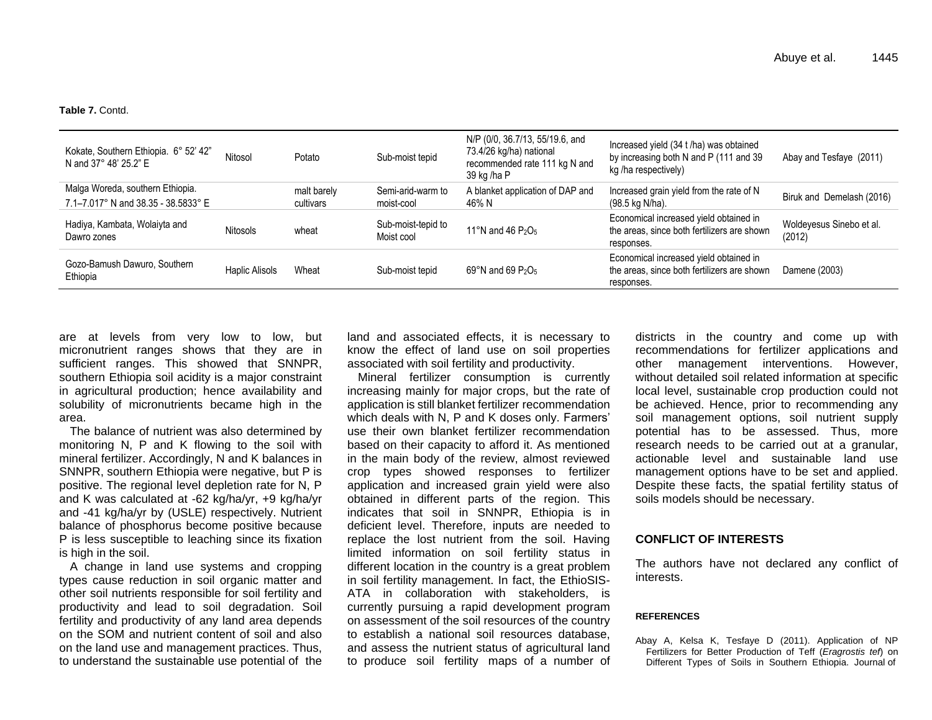**Table 7.** Contd.

| Kokate, Southern Ethiopia. 6° 52' 42"<br>N and 37° 48' 25.2" E | Nitosol         | Potato      | Sub-moist tepid                  | N/P (0/0, 36.7/13, 55/19.6, and<br>73.4/26 kg/ha) national<br>recommended rate 111 kg N and<br>39 kg /ha P | Increased yield (34 t/ha) was obtained<br>by increasing both N and P (111 and 39)<br>kg/ha respectively) | Abay and Tesfaye (2011)            |
|----------------------------------------------------------------|-----------------|-------------|----------------------------------|------------------------------------------------------------------------------------------------------------|----------------------------------------------------------------------------------------------------------|------------------------------------|
| Malga Woreda, southern Ethiopia.                               |                 | malt barely | Semi-arid-warm to                | A blanket application of DAP and                                                                           | Increased grain yield from the rate of N                                                                 |                                    |
| 7.1-7.017° N and 38.35 - 38.5833° E                            |                 | cultivars   | moist-cool                       | 46% N                                                                                                      | (98.5 kg N/ha).                                                                                          | Biruk and Demelash (2016)          |
| Hadiya, Kambata, Wolaiyta and<br>Dawro zones                   | <b>Nitosols</b> | wheat       | Sub-moist-tepid to<br>Moist cool | 11°N and 46 $P_2O_5$                                                                                       | Economical increased yield obtained in<br>the areas, since both fertilizers are shown<br>responses.      | Woldeyesus Sinebo et al.<br>(2012) |
| Gozo-Bamush Dawuro, Southern<br>Ethiopia                       | Haplic Alisols  | Wheat       | Sub-moist tepid                  | $69^{\circ}$ N and 69 P <sub>2</sub> O <sub>5</sub>                                                        | Economical increased yield obtained in<br>the areas, since both fertilizers are shown<br>responses.      | Damene (2003)                      |

are at levels from very low to low, but micronutrient ranges shows that they are in sufficient ranges. This showed that SNNPR, southern Ethiopia soil acidity is a major constraint in agricultural production; hence availability and solubility of micronutrients became high in the area.

The balance of nutrient was also determined by monitoring N, P and K flowing to the soil with mineral fertilizer. Accordingly, N and K balances in SNNPR, southern Ethiopia were negative, but P is positive. The regional level depletion rate for N, P and K was calculated at -62 kg/ha/yr, +9 kg/ha/yr and -41 kg/ha/yr by (USLE) respectively. Nutrient balance of phosphorus become positive because P is less susceptible to leaching since its fixation is high in the soil.

A change in land use systems and cropping types cause reduction in soil organic matter and other soil nutrients responsible for soil fertility and productivity and lead to soil degradation. Soil fertility and productivity of any land area depends on the SOM and nutrient content of soil and also on the land use and management practices. Thus, to understand the sustainable use potential of the

land and associated effects, it is necessary to know the effect of land use on soil properties associated with soil fertility and productivity.

Mineral fertilizer consumption is currently increasing mainly for major crops, but the rate of application is still blanket fertilizer recommendation which deals with N, P and K doses only. Farmers' use their own blanket fertilizer recommendation based on their capacity to afford it. As mentioned in the main body of the review, almost reviewed crop types showed responses to fertilizer application and increased grain yield were also obtained in different parts of the region. This indicates that soil in SNNPR, Ethiopia is in deficient level. Therefore, inputs are needed to replace the lost nutrient from the soil. Having limited information on soil fertility status in different location in the country is a great problem in soil fertility management. In fact, the EthioSIS-ATA in collaboration with stakeholders, is currently pursuing a rapid development program on assessment of the soil resources of the country to establish a national soil resources database, and assess the nutrient status of agricultural land to produce soil fertility maps of a number of

districts in the country and come up with recommendations for fertilizer applications and other management interventions. However, without detailed soil related information at specific local level, sustainable crop production could not be achieved. Hence, prior to recommending any soil management options, soil nutrient supply potential has to be assessed. Thus, more research needs to be carried out at a granular, actionable level and sustainable land use management options have to be set and applied. Despite these facts, the spatial fertility status of soils models should be necessary.

#### **CONFLICT OF INTERESTS**

The authors have not declared any conflict of interests.

#### **REFERENCES**

Abay A, Kelsa K, Tesfaye D (2011). Application of NP Fertilizers for Better Production of Teff (*Eragrostis tef*) on Different Types of Soils in Southern Ethiopia. Journal of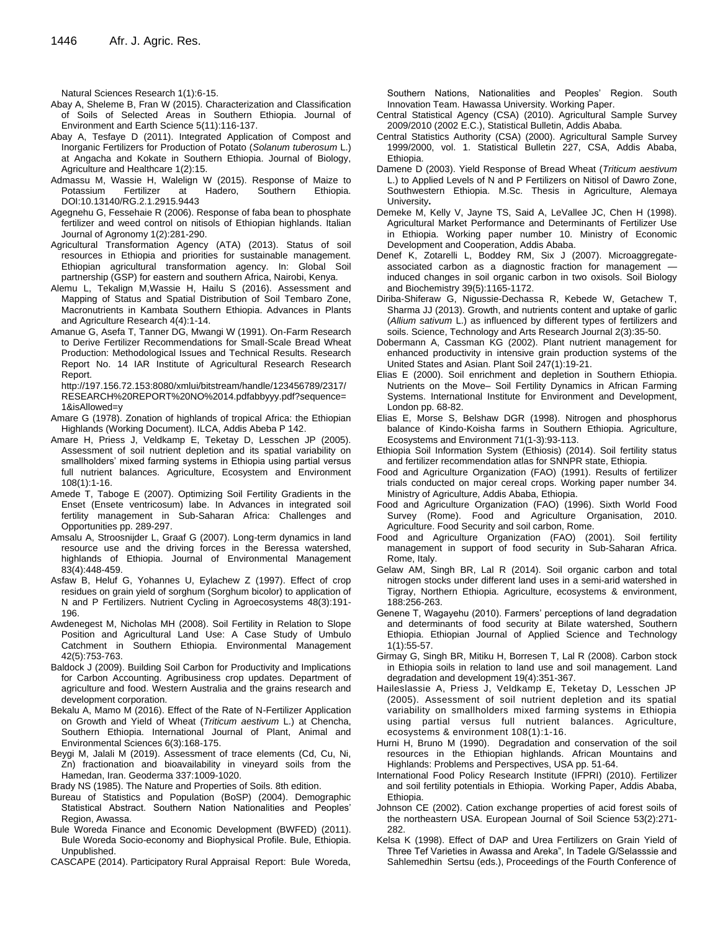Natural Sciences Research 1(1):6-15.

- Abay A, Sheleme B, Fran W (2015). Characterization and Classification of Soils of Selected Areas in Southern Ethiopia. Journal of Environment and Earth Science 5(11):116-137.
- Abay A, Tesfaye D (2011). Integrated Application of Compost and Inorganic Fertilizers for Production of Potato (*Solanum tuberosum* L.) at Angacha and Kokate in Southern Ethiopia. Journal of Biology, Agriculture and Healthcare 1(2):15.
- Admassu M, Wassie H, Walelign W (2015). Response of Maize to Potassium Fertilizer at Hadero, Southern Ethiopia. DOI:10.13140/RG.2.1.2915.9443
- Agegnehu G, Fessehaie R (2006). Response of faba bean to phosphate fertilizer and weed control on nitisols of Ethiopian highlands. Italian Journal of Agronomy 1(2):281-290.
- Agricultural Transformation Agency (ATA) (2013). Status of soil resources in Ethiopia and priorities for sustainable management. Ethiopian agricultural transformation agency. In: Global Soil partnership (GSP) for eastern and southern Africa, Nairobi, Kenya.
- Alemu L, Tekalign M,Wassie H, Hailu S (2016). Assessment and Mapping of Status and Spatial Distribution of Soil Tembaro Zone, Macronutrients in Kambata Southern Ethiopia. Advances in Plants and Agriculture Research 4(4):1-14.
- Amanue G, Asefa T, Tanner DG, Mwangi W (1991). On-Farm Research to Derive Fertilizer Recommendations for Small-Scale Bread Wheat Production: Methodological Issues and Technical Results. Research Report No. 14 IAR Institute of Agricultural Research Research Report.

http://197.156.72.153:8080/xmlui/bitstream/handle/123456789/2317/ RESEARCH%20REPORT%20NO%2014.pdfabbyyy.pdf?sequence= 1&isAllowed=y

- Amare G (1978). Zonation of highlands of tropical Africa: the Ethiopian Highlands (Working Document). ILCA, Addis Abeba P 142.
- Amare H, Priess J, Veldkamp E, Teketay D, Lesschen JP (2005). Assessment of soil nutrient depletion and its spatial variability on smallholders' mixed farming systems in Ethiopia using partial versus full nutrient balances. Agriculture, Ecosystem and Environment 108(1):1-16.
- Amede T, Taboge E (2007). Optimizing Soil Fertility Gradients in the Enset (Ensete ventricosum) labe. In Advances in integrated soil fertility management in Sub-Saharan Africa: Challenges and Opportunities pp. 289-297.
- Amsalu A, Stroosnijder L, Graaf G (2007). Long-term dynamics in land resource use and the driving forces in the Beressa watershed, highlands of Ethiopia. Journal of Environmental Management 83(4):448-459.
- Asfaw B, Heluf G, Yohannes U, Eylachew Z (1997). Effect of crop residues on grain yield of sorghum (Sorghum bicolor) to application of N and P Fertilizers. Nutrient Cycling in Agroecosystems 48(3):191- 196.
- Awdenegest M, Nicholas MH (2008). Soil Fertility in Relation to Slope Position and Agricultural Land Use: A Case Study of Umbulo Catchment in Southern Ethiopia. Environmental Management 42(5):753-763.
- Baldock J (2009). Building Soil Carbon for Productivity and Implications for Carbon Accounting. Agribusiness crop updates. Department of agriculture and food. Western Australia and the grains research and development corporation.
- Bekalu A, Mamo M (2016). Effect of the Rate of N-Fertilizer Application on Growth and Yield of Wheat (*Triticum aestivum* L.) at Chencha, Southern Ethiopia. International Journal of Plant, Animal and Environmental Sciences 6(3):168-175.
- Beygi M, Jalali M (2019). Assessment of trace elements (Cd, Cu, Ni, Zn) fractionation and bioavailability in vineyard soils from the Hamedan, Iran. Geoderma 337:1009-1020.

Brady NS (1985). The Nature and Properties of Soils. 8th edition.

- Bureau of Statistics and Population (BoSP) (2004). Demographic Statistical Abstract. Southern Nation Nationalities and Peoples' Region, Awassa.
- Bule Woreda Finance and Economic Development (BWFED) (2011). Bule Woreda Socio*-*economy and Biophysical Profile. Bule, Ethiopia. Unpublished.
- CASCAPE (2014). Participatory Rural Appraisal Report: Bule Woreda,

Southern Nations, Nationalities and Peoples' Region. South Innovation Team. Hawassa University. Working Paper.

- Central Statistical Agency (CSA) (2010). Agricultural Sample Survey 2009/2010 (2002 E.C.), Statistical Bulletin, Addis Ababa.
- Central Statistics Authority (CSA) (2000). Agricultural Sample Survey 1999/2000, vol. 1. Statistical Bulletin 227, CSA, Addis Ababa, Ethiopia.
- Damene D (2003). Yield Response of Bread Wheat (*Triticum aestivum* L.) to Applied Levels of N and P Fertilizers on Nitisol of Dawro Zone, Southwestern Ethiopia. M.Sc. Thesis in Agriculture, Alemaya University**.**
- Demeke M, Kelly V, Jayne TS, Said A, LeVallee JC, Chen H (1998). Agricultural Market Performance and Determinants of Fertilizer Use in Ethiopia. Working paper number 10. Ministry of Economic Development and Cooperation, Addis Ababa.
- Denef K, Zotarelli L, Boddey RM, Six J (2007). Microaggregateassociated carbon as a diagnostic fraction for management induced changes in soil organic carbon in two oxisols. Soil Biology and Biochemistry 39(5):1165-1172.
- Diriba-Shiferaw G, Nigussie-Dechassa R, Kebede W, Getachew T, Sharma JJ (2013). Growth, and nutrients content and uptake of garlic (*Allium sativum* L.) as influenced by different types of fertilizers and soils. Science, Technology and Arts Research Journal 2(3):35-50.
- Dobermann A, Cassman KG (2002). Plant nutrient management for enhanced productivity in intensive grain production systems of the United States and Asian. Plant Soil 247(1):19-21.
- Elias E (2000). Soil enrichment and depletion in Southern Ethiopia. Nutrients on the Move– Soil Fertility Dynamics in African Farming Systems. International Institute for Environment and Development, London pp. 68-82.
- Elias E, Morse S, Belshaw DGR (1998). Nitrogen and phosphorus balance of Kindo-Koisha farms in Southern Ethiopia. Agriculture, Ecosystems and Environment 71(1-3):93-113.
- Ethiopia Soil Information System (Ethiosis) (2014). Soil fertility status and fertilizer recommendation atlas for SNNPR state, Ethiopia.
- Food and Agriculture Organization (FAO) (1991). Results of fertilizer trials conducted on major cereal crops. Working paper number 34. Ministry of Agriculture, Addis Ababa, Ethiopia.
- Food and Agriculture Organization (FAO) (1996). Sixth World Food Survey (Rome). Food and Agriculture Organisation, 2010. Agriculture. Food Security and soil carbon, Rome.
- Food and Agriculture Organization (FAO) (2001). Soil fertility management in support of food security in Sub-Saharan Africa. Rome, Italy.
- Gelaw AM, Singh BR, Lal R (2014). Soil organic carbon and total nitrogen stocks under different land uses in a semi-arid watershed in Tigray, Northern Ethiopia. Agriculture, ecosystems & environment, 188:256-263.
- Genene T, Wagayehu (2010). Farmers' perceptions of land degradation and determinants of food security at Bilate watershed, Southern Ethiopia. Ethiopian Journal of Applied Science and Technology 1(1):55-57.
- Girmay G, Singh BR, Mitiku H, Borresen T, Lal R (2008). Carbon stock in Ethiopia soils in relation to land use and soil management. Land degradation and development 19(4):351-367.
- Haileslassie A, Priess J, Veldkamp E, Teketay D, Lesschen JP (2005). Assessment of soil nutrient depletion and its spatial variability on smallholders mixed farming systems in Ethiopia using partial versus full nutrient balances. Agriculture, ecosystems & environment 108(1):1-16.
- Hurni H, Bruno M (1990). Degradation and conservation of the soil resources in the Ethiopian highlands. African Mountains and Highlands: Problems and Perspectives, USA pp. 51-64.
- International Food Policy Research Institute (IFPRI) (2010). Fertilizer and soil fertility potentials in Ethiopia. Working Paper, Addis Ababa, Ethiopia.
- Johnson CE (2002). Cation exchange properties of acid forest soils of the northeastern USA. European Journal of Soil Science 53(2):271- 282.
- Kelsa K (1998). Effect of DAP and Urea Fertilizers on Grain Yield of Three Tef Varieties in Awassa and Areka", In Tadele G/Selasssie and Sahlemedhin Sertsu (eds.), Proceedings of the Fourth Conference of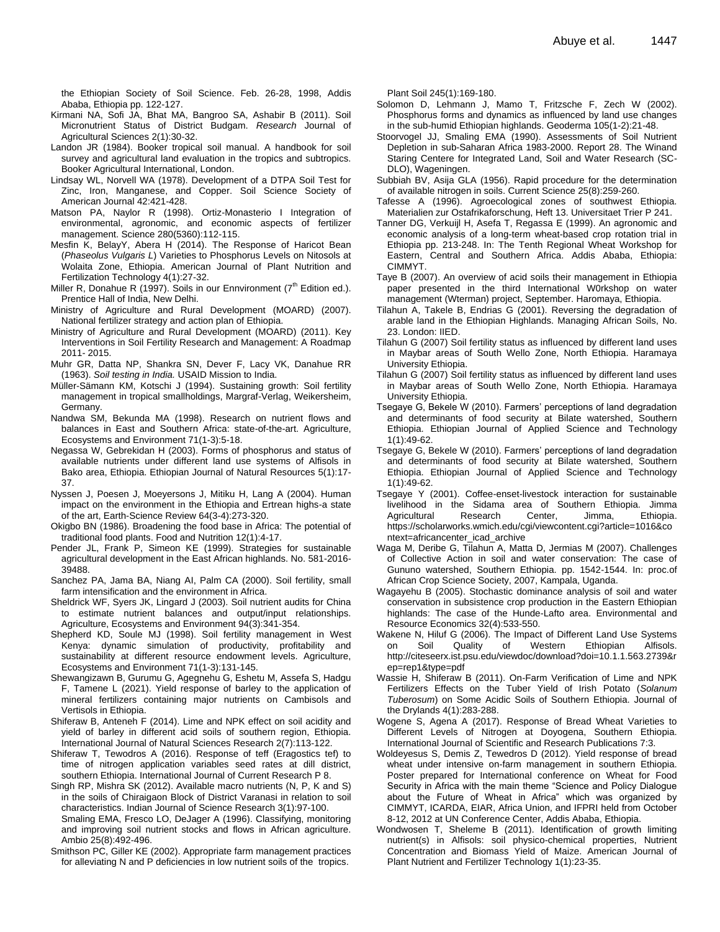the Ethiopian Society of Soil Science. Feb. 26-28, 1998, Addis Ababa, Ethiopia pp. 122-127.

- Kirmani NA, Sofi JA, Bhat MA, Bangroo SA, Ashabir B (2011). Soil Micronutrient Status of District Budgam. *Research* Journal of Agricultural Sciences 2(1):30-32.
- Landon JR (1984). Booker tropical soil manual. A handbook for soil survey and agricultural land evaluation in the tropics and subtropics. Booker Agricultural International, London.
- Lindsay WL, Norvell WA (1978). Development of a DTPA Soil Test for Zinc, Iron, Manganese, and Copper. Soil Science Society of American Journal 42:421-428.
- Matson PA, Naylor R (1998). Ortiz-Monasterio I Integration of environmental, agronomic, and economic aspects of fertilizer management. Science 280(5360):112-115.
- Mesfin K, BelayY, Abera H (2014). The Response of Haricot Bean (*Phaseolus Vulgaris L*) Varieties to Phosphorus Levels on Nitosols at Wolaita Zone, Ethiopia. American Journal of Plant Nutrition and Fertilization Technology 4(1):27-32.
- Miller R, Donahue R (1997). Soils in our Ennvironment  $7<sup>th</sup>$  Edition ed.). Prentice Hall of India, New Delhi.
- Ministry of Agriculture and Rural Development (MOARD) (2007). National fertilizer strategy and action plan of Ethiopia.
- Ministry of Agriculture and Rural Development (MOARD) (2011). Key Interventions in Soil Fertility Research and Management: A Roadmap 2011- 2015.
- Muhr GR, Datta NP, Shankra SN, Dever F, Lacy VK, Danahue RR (1963). *Soil testing in India.* USAID Mission to India.
- Müller-Sämann KM, Kotschi J (1994). Sustaining growth: Soil fertility management in tropical smallholdings, Margraf-Verlag, Weikersheim, Germany.
- Nandwa SM, Bekunda MA (1998). Research on nutrient flows and balances in East and Southern Africa: state-of-the-art. Agriculture, Ecosystems and Environment 71(1-3):5-18.
- Negassa W, Gebrekidan H (2003). Forms of phosphorus and status of available nutrients under different land use systems of Alfisols in Bako area, Ethiopia. Ethiopian Journal of Natural Resources 5(1):17- 37.
- Nyssen J, Poesen J, Moeyersons J, Mitiku H, Lang A (2004). Human impact on the environment in the Ethiopia and Ertrean highs-a state of the art, Earth-Science Review 64(3-4):273-320.
- Okigbo BN (1986). Broadening the food base in Africa: The potential of traditional food plants. Food and Nutrition 12(1):4-17.
- Pender JL, Frank P, Simeon KE (1999). Strategies for sustainable agricultural development in the East African highlands. No. 581-2016- 39488.
- Sanchez PA, Jama BA, Niang AI, Palm CA (2000). Soil fertility, small farm intensification and the environment in Africa.
- Sheldrick WF, Syers JK, Lingard J (2003). Soil nutrient audits for China to estimate nutrient balances and output/input relationships. Agriculture, Ecosystems and Environment 94(3):341-354.
- Shepherd KD, Soule MJ (1998). Soil fertility management in West Kenya: dynamic simulation of productivity, profitability and sustainability at different resource endowment levels. Agriculture, Ecosystems and Environment 71(1-3):131-145.
- Shewangizawn B, Gurumu G, Agegnehu G, Eshetu M, Assefa S, Hadgu F, Tamene L (2021). Yield response of barley to the application of mineral fertilizers containing major nutrients on Cambisols and Vertisols in Ethiopia.
- Shiferaw B, Anteneh F (2014). Lime and NPK effect on soil acidity and yield of barley in different acid soils of southern region, Ethiopia. International Journal of Natural Sciences Research 2(7):113-122.
- Shiferaw T, Tewodros A (2016). Response of teff (Eragostics tef) to time of nitrogen application variables seed rates at dill district, southern Ethiopia. International Journal of Current Research P 8.
- Singh RP, Mishra SK (2012). Available macro nutrients (N, P, K and S) in the soils of Chiraigaon Block of District Varanasi in relation to soil characteristics. Indian Journal of Science Research 3(1):97-100. Smaling EMA, Fresco LO, DeJager A (1996). Classifying, monitoring and improving soil nutrient stocks and flows in African agriculture. Ambio 25(8):492-496.
- Smithson PC, Giller KE (2002). Appropriate farm management practices for alleviating N and P deficiencies in low nutrient soils of the tropics.

Plant Soil 245(1):169-180.

- Solomon D, Lehmann J, Mamo T, Fritzsche F, Zech W (2002). Phosphorus forms and dynamics as influenced by land use changes in the sub-humid Ethiopian highlands. Geoderma 105(1-2):21-48.
- Stoorvogel JJ, Smaling EMA (1990). Assessments of Soil Nutrient Depletion in sub-Saharan Africa 1983-2000. Report 28. The Winand Staring Centere for Integrated Land, Soil and Water Research (SC-DLO), Wageningen.
- Subbiah BV, Asija GLA (1956). Rapid procedure for the determination of available nitrogen in soils. Current Science 25(8):259-260.
- Tafesse A (1996). Agroecological zones of southwest Ethiopia. Materialien zur Ostafrikaforschung, Heft 13. Universitaet Trier P 241.
- Tanner DG, Verkuijl H, Asefa T, Regassa E (1999). An agronomic and economic analysis of a long-term wheat-based crop rotation trial in Ethiopia pp. 213-248. In: The Tenth Regional Wheat Workshop for Eastern, Central and Southern Africa. Addis Ababa, Ethiopia: CIMMYT.
- Taye B (2007). An overview of acid soils their management in Ethiopia paper presented in the third International W0rkshop on water management (Wterman) project, September. Haromaya, Ethiopia.
- Tilahun A, Takele B, Endrias G (2001). Reversing the degradation of arable land in the Ethiopian Highlands. Managing African Soils, No. 23. London: IIED.
- Tilahun G (2007) Soil fertility status as influenced by different land uses in Maybar areas of South Wello Zone, North Ethiopia. Haramaya University Ethiopia.
- Tilahun G (2007) Soil fertility status as influenced by different land uses in Maybar areas of South Wello Zone, North Ethiopia. Haramaya University Ethiopia.
- Tsegaye G, Bekele W (2010). Farmers' perceptions of land degradation and determinants of food security at Bilate watershed, Southern Ethiopia. Ethiopian Journal of Applied Science and Technology 1(1):49-62.
- Tsegaye G, Bekele W (2010). Farmers' perceptions of land degradation and determinants of food security at Bilate watershed, Southern Ethiopia. Ethiopian Journal of Applied Science and Technology 1(1):49-62.
- Tsegaye Y (2001). Coffee-enset-livestock interaction for sustainable livelihood in the Sidama area of Southern Ethiopia. Jimma Agricultural Research Center, Jimma, Ethiopia. https://scholarworks.wmich.edu/cgi/viewcontent.cgi?article=1016&co ntext=africancenter\_icad\_archive
- Waga M, Deribe G, Tilahun A, Matta D, Jermias M (2007). Challenges of Collective Action in soil and water conservation: The case of Gununo watershed, Southern Ethiopia. pp. 1542-1544. In: proc.of African Crop Science Society, 2007, Kampala, Uganda.
- Wagayehu B (2005). Stochastic dominance analysis of soil and water conservation in subsistence crop production in the Eastern Ethiopian highlands: The case of the Hunde-Lafto area. Environmental and Resource Economics 32(4):533-550.
- Wakene N, Hiluf G (2006). The Impact of Different Land Use Systems on Soil Quality of Western Ethiopian Alfisols. http://citeseerx.ist.psu.edu/viewdoc/download?doi=10.1.1.563.2739&r ep=rep1&type=pdf
- Wassie H, Shiferaw B (2011). On-Farm Verification of Lime and NPK Fertilizers Effects on the Tuber Yield of Irish Potato (*Solanum Tuberosum*) on Some Acidic Soils of Southern Ethiopia. Journal of the Drylands 4(1):283-288.
- Wogene S, Agena A (2017). Response of Bread Wheat Varieties to Different Levels of Nitrogen at Doyogena, Southern Ethiopia. International Journal of Scientific and Research Publications 7:3.
- Woldeyesus S, Demis Z, Tewedros D (2012). Yield response of bread wheat under intensive on-farm management in southern Ethiopia. Poster prepared for International conference on Wheat for Food Security in Africa with the main theme "Science and Policy Dialogue about the Future of Wheat in Africa" which was organized by CIMMYT, ICARDA, EIAR, Africa Union, and IFPRI held from October 8-12, 2012 at UN Conference Center, Addis Ababa, Ethiopia.
- Wondwosen T, Sheleme B (2011). Identification of growth limiting nutrient(s) in Alfisols: soil physico-chemical properties, Nutrient Concentration and Biomass Yield of Maize. American Journal of Plant Nutrient and Fertilizer Technology 1(1):23-35.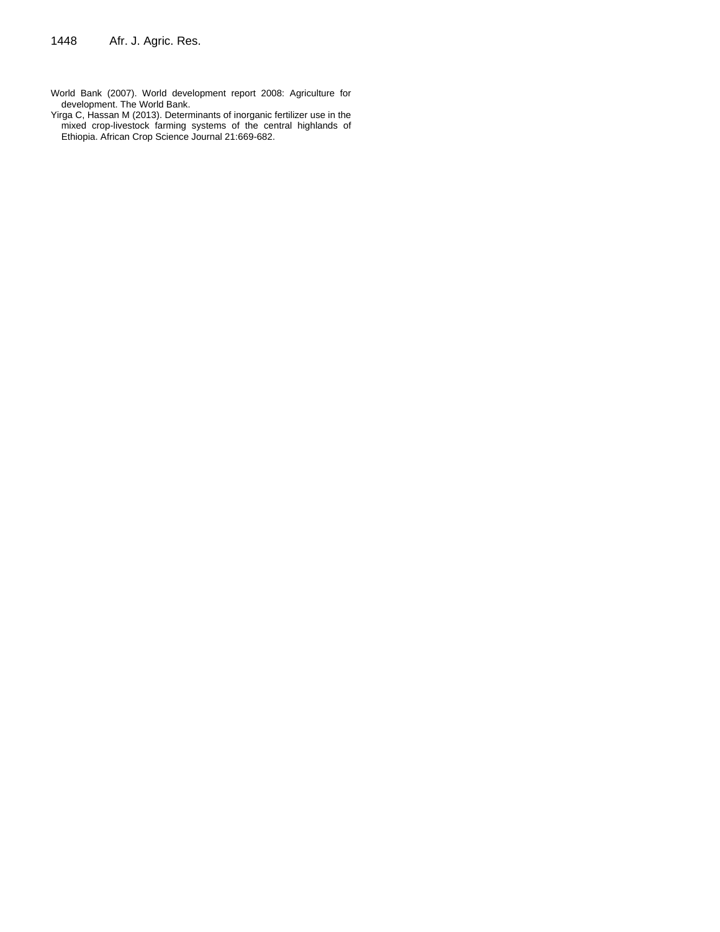- World Bank (2007). World development report 2008: Agriculture for development. The World Bank.
- Yirga C, Hassan M (2013). Determinants of inorganic fertilizer use in the mixed crop-livestock farming systems of the central highlands of Ethiopia. African Crop Science Journal 21:669-682.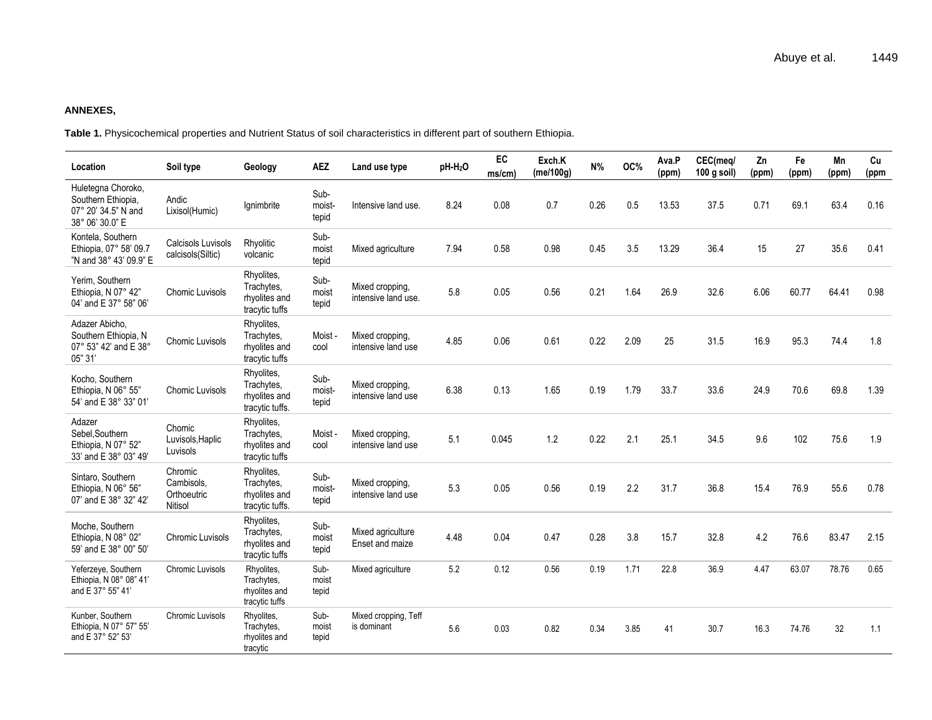#### **ANNEXES,**

**Table 1.** Physicochemical properties and Nutrient Status of soil characteristics in different part of southern Ethiopia.

| Location                                                                           | Soil type                                       | Geology                                                      | <b>AEZ</b>              | Land use type                          | pH-H <sub>2</sub> O | <b>EC</b><br>ms/cm) | Exch.K<br>(me/100g) | N%   | OC%  | Ava.P<br>(ppm) | CEC(meg/<br>100 g soil) | Zn<br>(ppm) | Fe<br>(ppm) | Mn<br>(ppm) | Cu<br>(ppm |
|------------------------------------------------------------------------------------|-------------------------------------------------|--------------------------------------------------------------|-------------------------|----------------------------------------|---------------------|---------------------|---------------------|------|------|----------------|-------------------------|-------------|-------------|-------------|------------|
| Huletegna Choroko,<br>Southern Ethiopia,<br>07° 20' 34.5" N and<br>38° 06' 30.0" E | Andic<br>Lixisol(Humic)                         | Ignimbrite                                                   | Sub-<br>moist-<br>tepid | Intensive land use.                    | 8.24                | 0.08                | 0.7                 | 0.26 | 0.5  | 13.53          | 37.5                    | 0.71        | 69.1        | 63.4        | 0.16       |
| Kontela, Southern<br>Ethiopia, 07° 58' 09.7<br>"N and 38° 43' 09.9" E              | Calcisols Luvisols<br>calcisols(Siltic)         | Rhyolitic<br>volcanic                                        | Sub-<br>moist<br>tepid  | Mixed agriculture                      | 7.94                | 0.58                | 0.98                | 0.45 | 3.5  | 13.29          | 36.4                    | 15          | 27          | 35.6        | 0.41       |
| Yerim, Southern<br>Ethiopia, N 07° 42"<br>04' and E 37° 58" 06'                    | <b>Chomic Luvisols</b>                          | Rhyolites,<br>Trachytes,<br>rhyolites and<br>tracytic tuffs  | Sub-<br>moist<br>tepid  | Mixed cropping,<br>intensive land use. | 5.8                 | 0.05                | 0.56                | 0.21 | 1.64 | 26.9           | 32.6                    | 6.06        | 60.77       | 64.41       | 0.98       |
| Adazer Abicho,<br>Southern Ethiopia, N<br>07° 53" 42' and E 38°<br>05" 31          | Chomic Luvisols                                 | Rhyolites,<br>Trachytes,<br>rhyolites and<br>tracytic tuffs  | Moist-<br>cool          | Mixed cropping,<br>intensive land use  | 4.85                | 0.06                | 0.61                | 0.22 | 2.09 | 25             | 31.5                    | 16.9        | 95.3        | 74.4        | 1.8        |
| Kocho, Southern<br>Ethiopia. N 06° 55"<br>54' and E 38° 33" 01'                    | Chomic Luvisols                                 | Rhyolites,<br>Trachytes,<br>rhyolites and<br>tracytic tuffs. | Sub-<br>moist-<br>tepid | Mixed cropping,<br>intensive land use  | 6.38                | 0.13                | 1.65                | 0.19 | 1.79 | 33.7           | 33.6                    | 24.9        | 70.6        | 69.8        | 1.39       |
| Adazer<br>Sebel, Southern<br>Ethiopia, N 07° 52"<br>33' and E 38° 03" 49'          | Chomic<br>Luvisols, Haplic<br>Luvisols          | Rhyolites,<br>Trachytes,<br>rhyolites and<br>tracytic tuffs  | Moist-<br>cool          | Mixed cropping,<br>intensive land use  | 5.1                 | 0.045               | 1.2                 | 0.22 | 2.1  | 25.1           | 34.5                    | 9.6         | 102         | 75.6        | 1.9        |
| Sintaro, Southern<br>Ethiopia, N 06° 56"<br>07' and E 38° 32" 42'                  | Chromic<br>Cambisols.<br>Orthoeutric<br>Nitisol | Rhyolites,<br>Trachytes,<br>rhyolites and<br>tracytic tuffs. | Sub-<br>moist-<br>tepid | Mixed cropping,<br>intensive land use  | 5.3                 | 0.05                | 0.56                | 0.19 | 2.2  | 31.7           | 36.8                    | 15.4        | 76.9        | 55.6        | 0.78       |
| Moche, Southern<br>Ethiopia, N 08° 02"<br>59' and E 38° 00" 50'                    | <b>Chromic Luvisols</b>                         | Rhyolites,<br>Trachytes,<br>rhyolites and<br>tracytic tuffs  | Sub-<br>moist<br>tepid  | Mixed agriculture<br>Enset and maize   | 4.48                | 0.04                | 0.47                | 0.28 | 3.8  | 15.7           | 32.8                    | 4.2         | 76.6        | 83.47       | 2.15       |
| Yeferzeye, Southern<br>Ethiopia. N 08° 08" 41'<br>and E 37° 55" 41'                | Chromic Luvisols                                | Rhyolites,<br>Trachytes,<br>rhyolites and<br>tracytic tuffs  | Sub-<br>moist<br>tepid  | Mixed agriculture                      | 5.2                 | 0.12                | 0.56                | 0.19 | 1.71 | 22.8           | 36.9                    | 4.47        | 63.07       | 78.76       | 0.65       |
| Kunber, Southern<br>Ethiopia, N 07° 57" 55'<br>and E 37° 52" 53'                   | <b>Chromic Luvisols</b>                         | Rhyolites,<br>Trachytes,<br>rhyolites and<br>tracytic        | Sub-<br>moist<br>tepid  | Mixed cropping, Teff<br>is dominant    | 5.6                 | 0.03                | 0.82                | 0.34 | 3.85 | 41             | 30.7                    | 16.3        | 74.76       | 32          | 1.1        |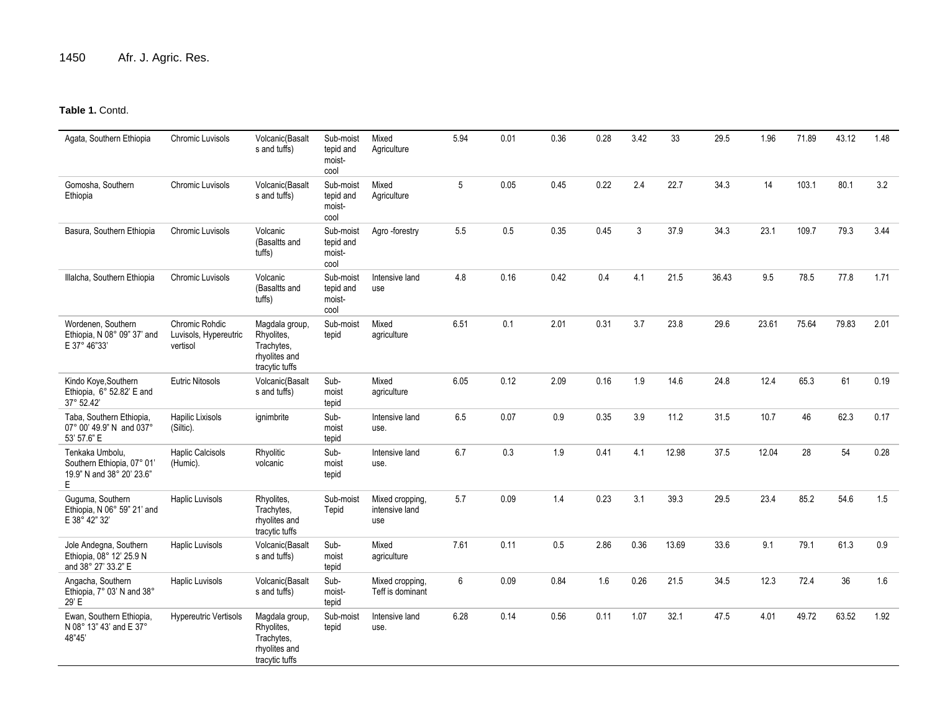# **Table 1.** Contd.

| Agata, Southern Ethiopia                                                        | Chromic Luvisols                                    | Volcanic(Basalt<br>s and tuffs)                                               | Sub-moist<br>tepid and<br>moist-<br>cool | Mixed<br>Agriculture                     | 5.94 | 0.01 | 0.36    | 0.28 | 3.42 | 33    | 29.5  | 1.96  | 71.89 | 43.12 | 1.48 |
|---------------------------------------------------------------------------------|-----------------------------------------------------|-------------------------------------------------------------------------------|------------------------------------------|------------------------------------------|------|------|---------|------|------|-------|-------|-------|-------|-------|------|
| Gomosha, Southern<br>Ethiopia                                                   | Chromic Luvisols                                    | Volcanic(Basalt<br>s and tuffs)                                               | Sub-moist<br>tepid and<br>moist-<br>cool | Mixed<br>Agriculture                     | 5    | 0.05 | 0.45    | 0.22 | 2.4  | 22.7  | 34.3  | 14    | 103.1 | 80.1  | 3.2  |
| Basura, Southern Ethiopia                                                       | <b>Chromic Luvisols</b>                             | Volcanic<br>(Basaltts and<br>tuffs)                                           | Sub-moist<br>tepid and<br>moist-<br>cool | Agro -forestry                           | 5.5  | 0.5  | 0.35    | 0.45 | 3    | 37.9  | 34.3  | 23.1  | 109.7 | 79.3  | 3.44 |
| Illalcha, Southern Ethiopia                                                     | <b>Chromic Luvisols</b>                             | Volcanic<br>(Basaltts and<br>tuffs)                                           | Sub-moist<br>tepid and<br>moist-<br>cool | Intensive land<br>use                    | 4.8  | 0.16 | 0.42    | 0.4  | 4.1  | 21.5  | 36.43 | 9.5   | 78.5  | 77.8  | 1.71 |
| Wordenen, Southern<br>Ethiopia. N 08° 09" 37' and<br>E 37° 46"33'               | Chromic Rohdic<br>Luvisols, Hypereutric<br>vertisol | Magdala group,<br>Rhyolites,<br>Trachytes,<br>rhyolites and<br>tracytic tuffs | Sub-moist<br>tepid                       | Mixed<br>agriculture                     | 6.51 | 0.1  | 2.01    | 0.31 | 3.7  | 23.8  | 29.6  | 23.61 | 75.64 | 79.83 | 2.01 |
| Kindo Koye, Southern<br>Ethiopia, 6° 52.82' E and<br>37° 52.42'                 | <b>Eutric Nitosols</b>                              | Volcanic(Basalt<br>s and tuffs)                                               | Sub-<br>moist<br>tepid                   | Mixed<br>agriculture                     | 6.05 | 0.12 | 2.09    | 0.16 | 1.9  | 14.6  | 24.8  | 12.4  | 65.3  | 61    | 0.19 |
| Taba, Southern Ethiopia,<br>07° 00' 49.9" N and 037°<br>53' 57.6" E             | Hapilic Lixisols<br>(Siltic).                       | ignimbrite                                                                    | Sub-<br>moist<br>tepid                   | Intensive land<br>use.                   | 6.5  | 0.07 | $0.9\,$ | 0.35 | 3.9  | 11.2  | 31.5  | 10.7  | 46    | 62.3  | 0.17 |
| Tenkaka Umbolu,<br>Southern Ethiopia, 07° 01'<br>19.9" N and 38° 20' 23.6"<br>Е | <b>Haplic Calcisols</b><br>(Humic).                 | Rhyolitic<br>volcanic                                                         | Sub-<br>moist<br>tepid                   | Intensive land<br>use.                   | 6.7  | 0.3  | 1.9     | 0.41 | 4.1  | 12.98 | 37.5  | 12.04 | 28    | 54    | 0.28 |
| Guguma, Southern<br>Ethiopia, N 06° 59" 21' and<br>E 38° 42" 32'                | Haplic Luvisols                                     | Rhyolites,<br>Trachytes,<br>rhyolites and<br>tracytic tuffs                   | Sub-moist<br>Tepid                       | Mixed cropping,<br>intensive land<br>use | 5.7  | 0.09 | 1.4     | 0.23 | 3.1  | 39.3  | 29.5  | 23.4  | 85.2  | 54.6  | 1.5  |
| Jole Andegna, Southern<br>Ethiopia, 08° 12' 25.9 N<br>and 38° 27' 33.2" E       | Haplic Luvisols                                     | Volcanic(Basalt<br>s and tuffs)                                               | Sub-<br>moist<br>tepid                   | Mixed<br>agriculture                     | 7.61 | 0.11 | 0.5     | 2.86 | 0.36 | 13.69 | 33.6  | 9.1   | 79.1  | 61.3  | 0.9  |
| Angacha, Southern<br>Ethiopia, 7° 03' N and 38°<br>29' E                        | Haplic Luvisols                                     | Volcanic(Basalt<br>s and tuffs)                                               | Sub-<br>moist-<br>tepid                  | Mixed cropping,<br>Teff is dominant      | 6    | 0.09 | 0.84    | 1.6  | 0.26 | 21.5  | 34.5  | 12.3  | 72.4  | 36    | 1.6  |
| Ewan, Southern Ethiopia,<br>N 08° 13" 43' and E 37°<br>48"45'                   | <b>Hypereutric Vertisols</b>                        | Magdala group,<br>Rhyolites,<br>Trachytes,<br>rhyolites and<br>tracytic tuffs | Sub-moist<br>tepid                       | Intensive land<br>use.                   | 6.28 | 0.14 | 0.56    | 0.11 | 1.07 | 32.1  | 47.5  | 4.01  | 49.72 | 63.52 | 1.92 |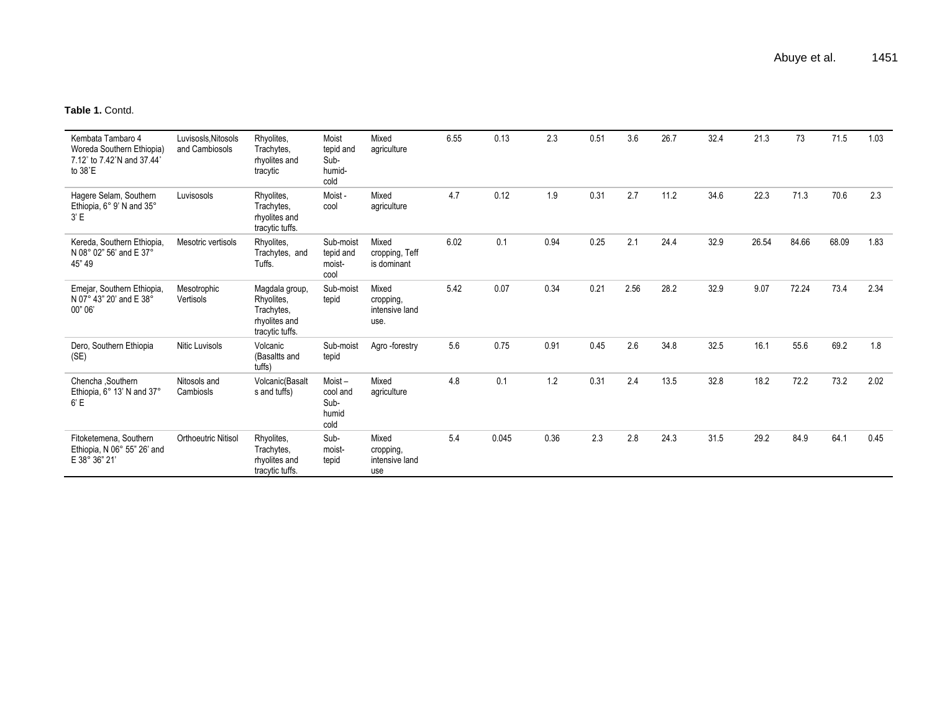**Table 1.** Contd.

| Kembata Tambaro 4<br>Woreda Southern Ethiopia)<br>7.12° to 7.42°N and 37.44°<br>to 38°E | Luvisosls, Nitosols<br>and Cambiosols | Rhyolites,<br>Trachytes,<br>rhyolites and<br>tracytic                          | Moist<br>tepid and<br>Sub-<br>humid-<br>cold | Mixed<br>agriculture                         | 6.55 | 0.13  | 2.3  | 0.51 | 3.6  | 26.7 | 32.4 | 21.3  | 73    | 71.5  | 1.03 |
|-----------------------------------------------------------------------------------------|---------------------------------------|--------------------------------------------------------------------------------|----------------------------------------------|----------------------------------------------|------|-------|------|------|------|------|------|-------|-------|-------|------|
| Hagere Selam, Southern<br>Ethiopia, 6° 9' N and 35°<br>3' E                             | Luvisosols                            | Rhyolites,<br>Trachytes,<br>rhyolites and<br>tracytic tuffs.                   | Moist -<br>cool                              | Mixed<br>agriculture                         | 4.7  | 0.12  | 1.9  | 0.31 | 2.7  | 11.2 | 34.6 | 22.3  | 71.3  | 70.6  | 2.3  |
| Kereda, Southern Ethiopia,<br>N 08° 02" 56' and E 37°<br>45" 49                         | Mesotric vertisols                    | Rhyolites,<br>Trachytes, and<br>Tuffs.                                         | Sub-moist<br>tepid and<br>moist-<br>cool     | Mixed<br>cropping, Teff<br>is dominant       | 6.02 | 0.1   | 0.94 | 0.25 | 2.1  | 24.4 | 32.9 | 26.54 | 84.66 | 68.09 | 1.83 |
| Emejar, Southern Ethiopia,<br>N 07° 43" 20' and E 38°<br>00" 06'                        | Mesotrophic<br>Vertisols              | Magdala group,<br>Rhyolites,<br>Trachytes,<br>rhyolites and<br>tracytic tuffs. | Sub-moist<br>tepid                           | Mixed<br>cropping,<br>intensive land<br>use. | 5.42 | 0.07  | 0.34 | 0.21 | 2.56 | 28.2 | 32.9 | 9.07  | 72.24 | 73.4  | 2.34 |
| Dero, Southern Ethiopia<br>(SE)                                                         | Nitic Luvisols                        | Volcanic<br>(Basaltts and<br>tuffs)                                            | Sub-moist<br>tepid                           | Agro-forestry                                | 5.6  | 0.75  | 0.91 | 0.45 | 2.6  | 34.8 | 32.5 | 16.1  | 55.6  | 69.2  | 1.8  |
| Chencha , Southern<br>Ethiopia, 6° 13' N and 37°<br>6'E                                 | Nitosols and<br>Cambiosls             | Volcanic(Basalt<br>s and tuffs)                                                | Moist-<br>cool and<br>Sub-<br>humid<br>cold  | Mixed<br>agriculture                         | 4.8  | 0.1   | 1.2  | 0.31 | 2.4  | 13.5 | 32.8 | 18.2  | 72.2  | 73.2  | 2.02 |
| Fitoketemena, Southern<br>Ethiopia, N 06° 55" 26' and<br>E 38° 36" 21'                  | Orthoeutric Nitisol                   | Rhyolites,<br>Trachytes,<br>rhyolites and<br>tracytic tuffs.                   | Sub-<br>moist-<br>tepid                      | Mixed<br>cropping,<br>intensive land<br>use  | 5.4  | 0.045 | 0.36 | 2.3  | 2.8  | 24.3 | 31.5 | 29.2  | 84.9  | 64.1  | 0.45 |